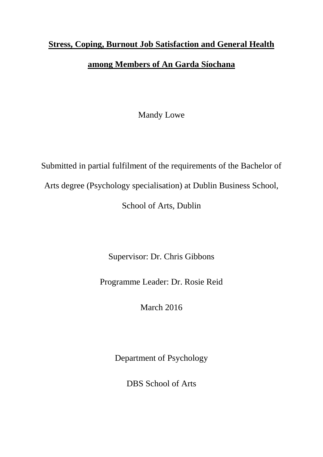# **Stress, Coping, Burnout Job Satisfaction and General Health among Members of An Garda Síochana**

Mandy Lowe

Submitted in partial fulfilment of the requirements of the Bachelor of

Arts degree (Psychology specialisation) at Dublin Business School,

School of Arts, Dublin

Supervisor: Dr. Chris Gibbons

Programme Leader: Dr. Rosie Reid

March 2016

Department of Psychology

DBS School of Arts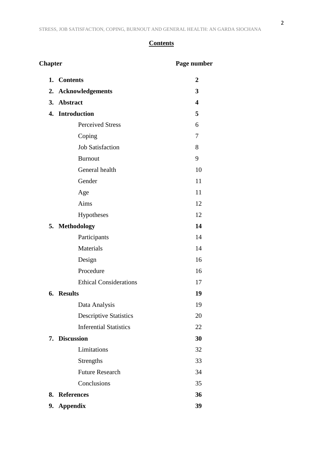# **Contents**

| <b>Chapter</b> |                               | Page number |
|----------------|-------------------------------|-------------|
|                | 1. Contents                   | 2           |
| 2.             | <b>Acknowledgements</b>       | 3           |
| 3.             | <b>Abstract</b>               | 4           |
|                | 4. Introduction               | 5           |
|                | <b>Perceived Stress</b>       | 6           |
|                | Coping                        | 7           |
|                | <b>Job Satisfaction</b>       | 8           |
|                | <b>Burnout</b>                | 9           |
|                | General health                | 10          |
|                | Gender                        | 11          |
|                | Age                           | 11          |
|                | Aims                          | 12          |
|                | Hypotheses                    | 12          |
|                | 5. Methodology                | 14          |
|                | Participants                  | 14          |
|                | <b>Materials</b>              | 14          |
|                | Design                        | 16          |
|                | Procedure                     | 16          |
|                | <b>Ethical Considerations</b> | 17          |
|                | 6. Results                    | 19          |
|                | Data Analysis                 | 19          |
|                | <b>Descriptive Statistics</b> | 20          |
|                | <b>Inferential Statistics</b> | 22          |
|                | 7. Discussion                 | 30          |
|                | Limitations                   | 32          |
|                | Strengths                     | 33          |
|                | <b>Future Research</b>        | 34          |
|                | Conclusions                   | 35          |
|                | 8. References                 | 36          |
|                | 9. Appendix                   | 39          |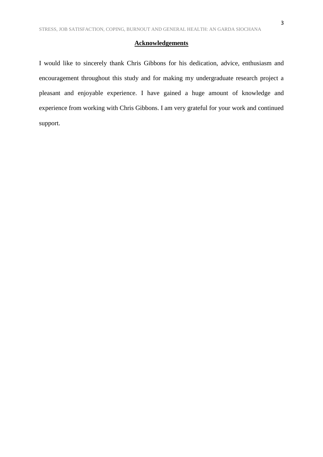#### **Acknowledgements**

I would like to sincerely thank Chris Gibbons for his dedication, advice, enthusiasm and encouragement throughout this study and for making my undergraduate research project a pleasant and enjoyable experience. I have gained a huge amount of knowledge and experience from working with Chris Gibbons. I am very grateful for your work and continued support.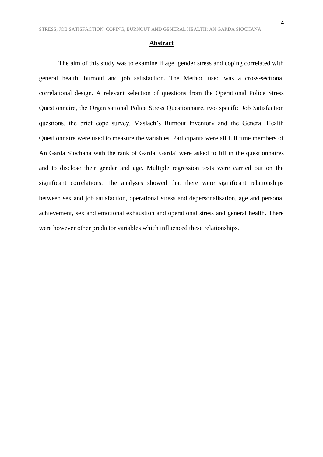The aim of this study was to examine if age, gender stress and coping correlated with general health, burnout and job satisfaction. The Method used was a cross-sectional correlational design. A relevant selection of questions from the Operational Police Stress Questionnaire, the Organisational Police Stress Questionnaire, two specific Job Satisfaction questions, the brief cope survey, Maslach's Burnout Inventory and the General Health Questionnaire were used to measure the variables. Participants were all full time members of An Garda Síochana with the rank of Garda. Gardaí were asked to fill in the questionnaires and to disclose their gender and age. Multiple regression tests were carried out on the significant correlations. The analyses showed that there were significant relationships between sex and job satisfaction, operational stress and depersonalisation, age and personal achievement, sex and emotional exhaustion and operational stress and general health. There were however other predictor variables which influenced these relationships.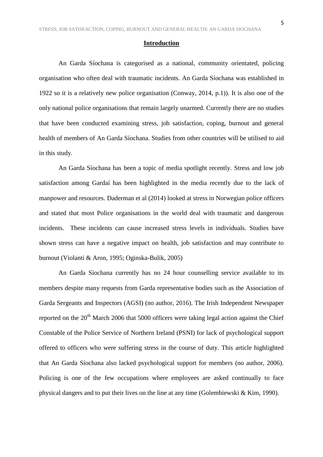#### **Introduction**

An Garda Síochana is categorised as a national, community orientated, policing organisation who often deal with traumatic incidents. An Garda Síochana was established in 1922 so it is a relatively new police organisation (Conway, 2014, p.1)). It is also one of the only national police organisations that remain largely unarmed. Currently there are no studies that have been conducted examining stress, job satisfaction, coping, burnout and general health of members of An Garda Síochana. Studies from other countries will be utilised to aid in this study.

An Garda Síochana has been a topic of media spotlight recently. Stress and low job satisfaction among Gardaí has been highlighted in the media recently due to the lack of manpower and resources. Daderman et al (2014) looked at stress in Norwegian police officers and stated that most Police organisations in the world deal with traumatic and dangerous incidents. These incidents can cause increased stress levels in individuals. Studies have shown stress can have a negative impact on health, job satisfaction and may contribute to burnout (Violanti & Aron, 1995; Oginska-Bulik, 2005)

An Garda Síochana currently has no 24 hour counselling service available to its members despite many requests from Garda representative bodies such as the Association of Garda Sergeants and Inspectors (AGSI) (no author, 2016). The Irish Independent Newspaper reported on the  $20^{th}$  March 2006 that 5000 officers were taking legal action against the Chief Constable of the Police Service of Northern Ireland (PSNI) for lack of psychological support offered to officers who were suffering stress in the course of duty. This article highlighted that An Garda Síochana also lacked psychological support for members (no author, 2006). Policing is one of the few occupations where employees are asked continually to face physical dangers and to put their lives on the line at any time (Golembiewski & Kim, 1990).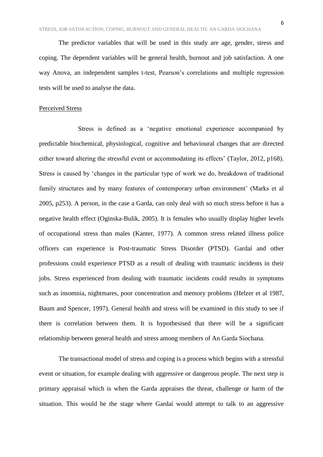The predictor variables that will be used in this study are age, gender, stress and coping. The dependent variables will be general health, burnout and job satisfaction. A one way Anova, an independent samples t-test, Pearson's correlations and multiple regression tests will be used to analyse the data.

#### Perceived Stress

Stress is defined as a 'negative emotional experience accompanied by predictable biochemical, physiological, cognitive and behavioural changes that are directed either toward altering the stressful event or accommodating its effects' (Taylor, 2012, p168). Stress is caused by 'changes in the particular type of work we do, breakdown of traditional family structures and by many features of contemporary urban environment' (Marks et al 2005, p253). A person, in the case a Garda, can only deal with so much stress before it has a negative health effect (Oginska-Bulik, 2005). It is females who usually display higher levels of occupational stress than males (Kanter, 1977). A common stress related illness police officers can experience is Post-traumatic Stress Disorder (PTSD). Gardaí and other professions could experience PTSD as a result of dealing with traumatic incidents in their jobs. Stress experienced from dealing with traumatic incidents could results in symptoms such as insomnia, nightmares, poor concentration and memory problems (Helzer et al 1987, Baum and Spencer, 1997). General health and stress will be examined in this study to see if there is correlation between them. It is hypothesised that there will be a significant relationship between general health and stress among members of An Garda Síochana.

The transactional model of stress and coping is a process which begins with a stressful event or situation, for example dealing with aggressive or dangerous people. The next step is primary appraisal which is when the Garda appraises the threat, challenge or harm of the situation. This would be the stage where Gardaí would attempt to talk to an aggressive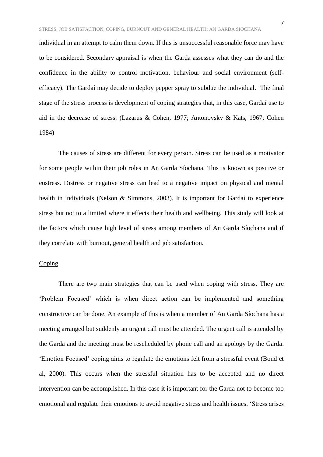individual in an attempt to calm them down. If this is unsuccessful reasonable force may have to be considered. Secondary appraisal is when the Garda assesses what they can do and the confidence in the ability to control motivation, behaviour and social environment (selfefficacy). The Gardaí may decide to deploy pepper spray to subdue the individual. The final stage of the stress process is development of coping strategies that, in this case, Gardaí use to aid in the decrease of stress. (Lazarus & Cohen, 1977; Antonovsky & Kats, 1967; Cohen 1984)

The causes of stress are different for every person. Stress can be used as a motivator for some people within their job roles in An Garda Síochana. This is known as positive or eustress. Distress or negative stress can lead to a negative impact on physical and mental health in individuals (Nelson & Simmons, 2003). It is important for Gardaí to experience stress but not to a limited where it effects their health and wellbeing. This study will look at the factors which cause high level of stress among members of An Garda Síochana and if they correlate with burnout, general health and job satisfaction.

#### **Coping**

There are two main strategies that can be used when coping with stress. They are 'Problem Focused' which is when direct action can be implemented and something constructive can be done. An example of this is when a member of An Garda Síochana has a meeting arranged but suddenly an urgent call must be attended. The urgent call is attended by the Garda and the meeting must be rescheduled by phone call and an apology by the Garda. 'Emotion Focused' coping aims to regulate the emotions felt from a stressful event (Bond et al, 2000). This occurs when the stressful situation has to be accepted and no direct intervention can be accomplished. In this case it is important for the Garda not to become too emotional and regulate their emotions to avoid negative stress and health issues. 'Stress arises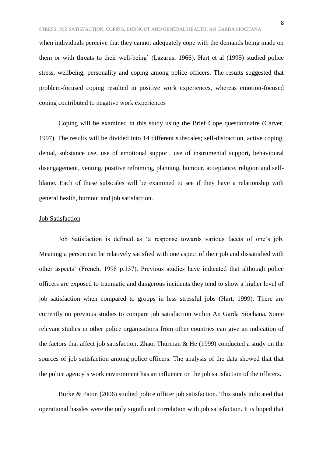when individuals perceive that they cannot adequately cope with the demands being made on them or with threats to their well-being' (Lazarus, 1966). Hart et al (1995) studied police stress, wellbeing, personality and coping among police officers. The results suggested that problem-focused coping resulted in positive work experiences, whereas emotion-focused coping contributed to negative work experiences

Coping will be examined in this study using the Brief Cope questionnaire (Carver, 1997). The results will be divided into 14 different subscales; self-distraction, active coping, denial, substance use, use of emotional support, use of instrumental support, behavioural disengagement, venting, positive reframing, planning, humour, acceptance, religion and selfblame. Each of these subscales will be examined to see if they have a relationship with general health, burnout and job satisfaction.

#### Job Satisfaction

Job Satisfaction is defined as 'a response towards various facets of one's job. Meaning a person can be relatively satisfied with one aspect of their job and dissatisfied with other aspects' (French, 1998 p.137). Previous studies have indicated that although police officers are exposed to traumatic and dangerous incidents they tend to show a higher level of job satisfaction when compared to groups in less stressful jobs (Hart, 1999). There are currently no previous studies to compare job satisfaction within An Garda Síochana. Some relevant studies in other police organisations from other countries can give an indication of the factors that affect job satisfaction. Zhao, Thurman & He (1999) conducted a study on the sources of job satisfaction among police officers. The analysis of the data showed that that the police agency's work environment has an influence on the job satisfaction of the officers.

Burke & Paton (2006) studied police officer job satisfaction. This study indicated that operational hassles were the only significant correlation with job satisfaction. It is hoped that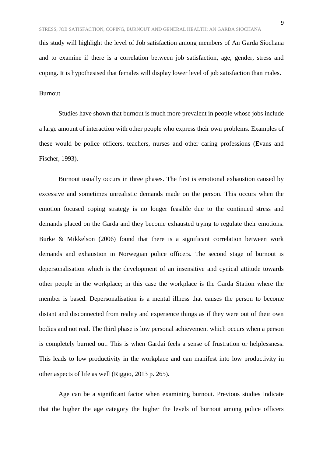this study will highlight the level of Job satisfaction among members of An Garda Síochana and to examine if there is a correlation between job satisfaction, age, gender, stress and coping. It is hypothesised that females will display lower level of job satisfaction than males.

#### Burnout

Studies have shown that burnout is much more prevalent in people whose jobs include a large amount of interaction with other people who express their own problems. Examples of these would be police officers, teachers, nurses and other caring professions (Evans and Fischer, 1993).

Burnout usually occurs in three phases. The first is emotional exhaustion caused by excessive and sometimes unrealistic demands made on the person. This occurs when the emotion focused coping strategy is no longer feasible due to the continued stress and demands placed on the Garda and they become exhausted trying to regulate their emotions. Burke & Mikkelson (2006) found that there is a significant correlation between work demands and exhaustion in Norwegian police officers. The second stage of burnout is depersonalisation which is the development of an insensitive and cynical attitude towards other people in the workplace; in this case the workplace is the Garda Station where the member is based. Depersonalisation is a mental illness that causes the person to become distant and disconnected from reality and experience things as if they were out of their own bodies and not real. The third phase is low personal achievement which occurs when a person is completely burned out. This is when Gardaí feels a sense of frustration or helplessness. This leads to low productivity in the workplace and can manifest into low productivity in other aspects of life as well (Riggio, 2013 p. 265).

Age can be a significant factor when examining burnout. Previous studies indicate that the higher the age category the higher the levels of burnout among police officers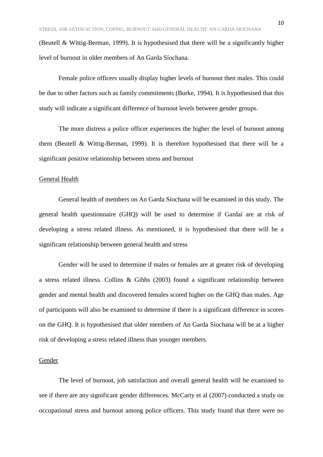(Beutell & Wittig-Berman, 1999). It is hypothesised that there will be a significantly higher level of burnout in older members of An Garda Síochana.

Female police officers usually display higher levels of burnout then males. This could be due to other factors such as family commitments (Burke, 1994). It is hypothesised that this study will indicate a significant difference of burnout levels between gender groups.

The more distress a police officer experiences the higher the level of burnout among them (Beutell & Wittig-Berman, 1999). It is therefore hypothesised that there will be a significant positive relationship between stress and burnout

#### General Health

General health of members on An Garda Síochana will be examined in this study. The general health questionnaire (GHQ) will be used to determine if Gardaí are at risk of developing a stress related illness. As mentioned, it is hypothesised that there will be a significant relationship between general health and stress

Gender will be used to determine if males or females are at greater risk of developing a stress related illness. Collins & Gibbs (2003) found a significant relationship between gender and mental health and discovered females scored higher on the GHQ than males. Age of participants will also be examined to determine if there is a significant difference in scores on the GHQ. It is hypothesised that older members of An Garda Síochana will be at a higher risk of developing a stress related illness than younger members.

#### Gender

The level of burnout, job satisfaction and overall general health will be examined to see if there are any significant gender differences. McCarty et al (2007) conducted a study on occupational stress and burnout among police officers. This study found that there were no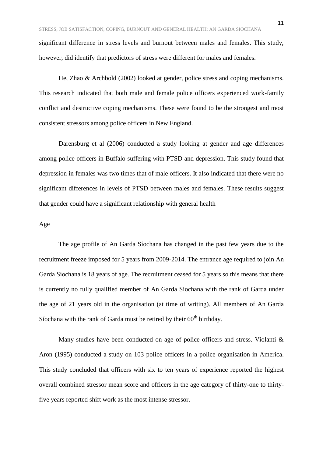significant difference in stress levels and burnout between males and females. This study, however, did identify that predictors of stress were different for males and females.

He, Zhao & Archbold (2002) looked at gender, police stress and coping mechanisms. This research indicated that both male and female police officers experienced work-family conflict and destructive coping mechanisms. These were found to be the strongest and most consistent stressors among police officers in New England.

Darensburg et al (2006) conducted a study looking at gender and age differences among police officers in Buffalo suffering with PTSD and depression. This study found that depression in females was two times that of male officers. It also indicated that there were no significant differences in levels of PTSD between males and females. These results suggest that gender could have a significant relationship with general health

#### Age

The age profile of An Garda Síochana has changed in the past few years due to the recruitment freeze imposed for 5 years from 2009-2014. The entrance age required to join An Garda Síochana is 18 years of age. The recruitment ceased for 5 years so this means that there is currently no fully qualified member of An Garda Síochana with the rank of Garda under the age of 21 years old in the organisation (at time of writing). All members of An Garda Síochana with the rank of Garda must be retired by their  $60<sup>th</sup>$  birthday.

Many studies have been conducted on age of police officers and stress. Violanti & Aron (1995) conducted a study on 103 police officers in a police organisation in America. This study concluded that officers with six to ten years of experience reported the highest overall combined stressor mean score and officers in the age category of thirty-one to thirtyfive years reported shift work as the most intense stressor.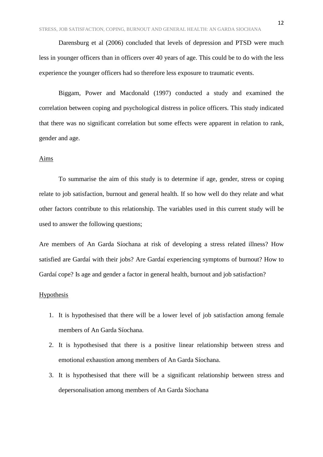Darensburg et al (2006) concluded that levels of depression and PTSD were much less in younger officers than in officers over 40 years of age. This could be to do with the less experience the younger officers had so therefore less exposure to traumatic events.

Biggam, Power and Macdonald (1997) conducted a study and examined the correlation between coping and psychological distress in police officers. This study indicated that there was no significant correlation but some effects were apparent in relation to rank, gender and age.

#### Aims

To summarise the aim of this study is to determine if age, gender, stress or coping relate to job satisfaction, burnout and general health. If so how well do they relate and what other factors contribute to this relationship. The variables used in this current study will be used to answer the following questions;

Are members of An Garda Síochana at risk of developing a stress related illness? How satisfied are Gardaí with their jobs? Are Gardaí experiencing symptoms of burnout? How to Gardaí cope? Is age and gender a factor in general health, burnout and job satisfaction?

#### Hypothesis

- 1. It is hypothesised that there will be a lower level of job satisfaction among female members of An Garda Síochana.
- 2. It is hypothesised that there is a positive linear relationship between stress and emotional exhaustion among members of An Garda Síochana.
- 3. It is hypothesised that there will be a significant relationship between stress and depersonalisation among members of An Garda Síochana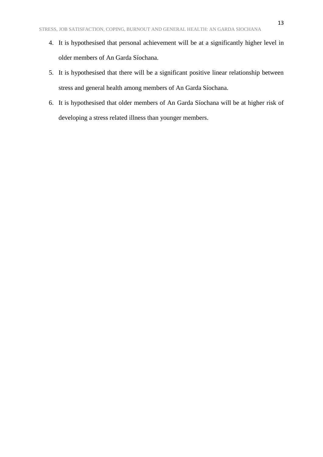- 4. It is hypothesised that personal achievement will be at a significantly higher level in older members of An Garda Síochana.
- 5. It is hypothesised that there will be a significant positive linear relationship between stress and general health among members of An Garda Síochana.
- 6. It is hypothesised that older members of An Garda Síochana will be at higher risk of developing a stress related illness than younger members.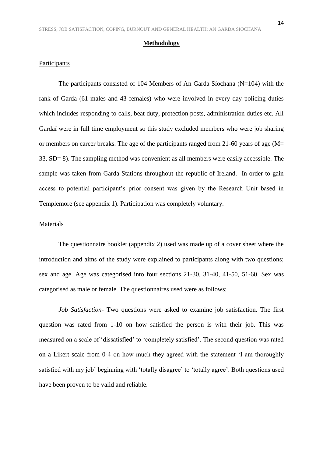#### **Methodology**

#### Participants

The participants consisted of 104 Members of An Garda Síochana (N=104) with the rank of Garda (61 males and 43 females) who were involved in every day policing duties which includes responding to calls, beat duty, protection posts, administration duties etc. All Gardaí were in full time employment so this study excluded members who were job sharing or members on career breaks. The age of the participants ranged from 21-60 years of age (M= 33, SD= 8). The sampling method was convenient as all members were easily accessible. The sample was taken from Garda Stations throughout the republic of Ireland. In order to gain access to potential participant's prior consent was given by the Research Unit based in Templemore (see appendix 1). Participation was completely voluntary.

#### Materials

The questionnaire booklet (appendix 2) used was made up of a cover sheet where the introduction and aims of the study were explained to participants along with two questions; sex and age. Age was categorised into four sections 21-30, 31-40, 41-50, 51-60. Sex was categorised as male or female. The questionnaires used were as follows;

*Job Satisfaction*- Two questions were asked to examine job satisfaction. The first question was rated from 1-10 on how satisfied the person is with their job. This was measured on a scale of 'dissatisfied' to 'completely satisfied'. The second question was rated on a Likert scale from 0-4 on how much they agreed with the statement 'I am thoroughly satisfied with my job' beginning with 'totally disagree' to 'totally agree'. Both questions used have been proven to be valid and reliable.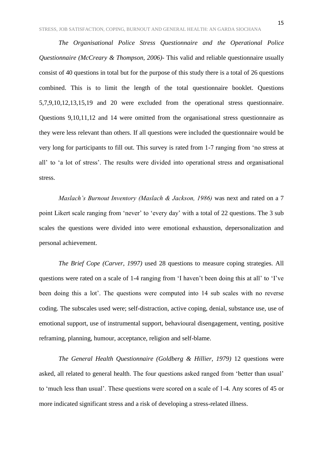*The Organisational Police Stress Questionnaire and the Operational Police Questionnaire (McCreary & Thompson, 2006)-* This valid and reliable questionnaire usually consist of 40 questions in total but for the purpose of this study there is a total of 26 questions combined. This is to limit the length of the total questionnaire booklet. Questions 5,7,9,10,12,13,15,19 and 20 were excluded from the operational stress questionnaire. Questions 9,10,11,12 and 14 were omitted from the organisational stress questionnaire as they were less relevant than others. If all questions were included the questionnaire would be very long for participants to fill out. This survey is rated from 1-7 ranging from 'no stress at all' to 'a lot of stress'. The results were divided into operational stress and organisational stress.

*Maslach's Burnout Inventory (Maslach & Jackson, 1986)* was next and rated on a 7 point Likert scale ranging from 'never' to 'every day' with a total of 22 questions. The 3 sub scales the questions were divided into were emotional exhaustion, depersonalization and personal achievement.

*The Brief Cope (Carver, 1997)* used 28 questions to measure coping strategies. All questions were rated on a scale of 1-4 ranging from 'I haven't been doing this at all' to 'I've been doing this a lot'. The questions were computed into 14 sub scales with no reverse coding. The subscales used were; self-distraction, active coping, denial, substance use, use of emotional support, use of instrumental support, behavioural disengagement, venting, positive reframing, planning, humour, acceptance, religion and self-blame.

*The General Health Questionnaire (Goldberg & Hillier, 1979)* 12 questions were asked, all related to general health. The four questions asked ranged from 'better than usual' to 'much less than usual'. These questions were scored on a scale of 1-4. Any scores of 45 or more indicated significant stress and a risk of developing a stress-related illness.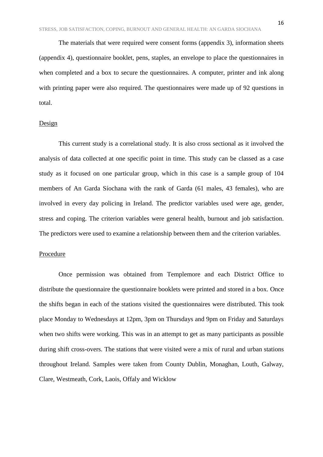The materials that were required were consent forms (appendix 3), information sheets (appendix 4), questionnaire booklet, pens, staples, an envelope to place the questionnaires in when completed and a box to secure the questionnaires. A computer, printer and ink along with printing paper were also required. The questionnaires were made up of 92 questions in total.

#### Design

This current study is a correlational study. It is also cross sectional as it involved the analysis of data collected at one specific point in time. This study can be classed as a case study as it focused on one particular group, which in this case is a sample group of 104 members of An Garda Síochana with the rank of Garda (61 males, 43 females), who are involved in every day policing in Ireland. The predictor variables used were age, gender, stress and coping. The criterion variables were general health, burnout and job satisfaction. The predictors were used to examine a relationship between them and the criterion variables.

#### Procedure

Once permission was obtained from Templemore and each District Office to distribute the questionnaire the questionnaire booklets were printed and stored in a box. Once the shifts began in each of the stations visited the questionnaires were distributed. This took place Monday to Wednesdays at 12pm, 3pm on Thursdays and 9pm on Friday and Saturdays when two shifts were working. This was in an attempt to get as many participants as possible during shift cross-overs. The stations that were visited were a mix of rural and urban stations throughout Ireland. Samples were taken from County Dublin, Monaghan, Louth, Galway, Clare, Westmeath, Cork, Laois, Offaly and Wicklow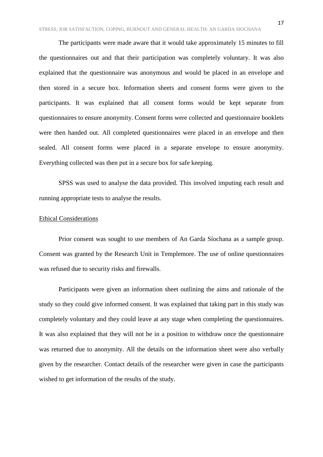The participants were made aware that it would take approximately 15 minutes to fill the questionnaires out and that their participation was completely voluntary. It was also explained that the questionnaire was anonymous and would be placed in an envelope and then stored in a secure box. Information sheets and consent forms were given to the participants. It was explained that all consent forms would be kept separate from questionnaires to ensure anonymity. Consent forms were collected and questionnaire booklets were then handed out. All completed questionnaires were placed in an envelope and then sealed. All consent forms were placed in a separate envelope to ensure anonymity. Everything collected was then put in a secure box for safe keeping.

SPSS was used to analyse the data provided. This involved imputing each result and running appropriate tests to analyse the results.

#### Ethical Considerations

Prior consent was sought to use members of An Garda Síochana as a sample group. Consent was granted by the Research Unit in Templemore. The use of online questionnaires was refused due to security risks and firewalls.

Participants were given an information sheet outlining the aims and rationale of the study so they could give informed consent. It was explained that taking part in this study was completely voluntary and they could leave at any stage when completing the questionnaires. It was also explained that they will not be in a position to withdraw once the questionnaire was returned due to anonymity. All the details on the information sheet were also verbally given by the researcher. Contact details of the researcher were given in case the participants wished to get information of the results of the study.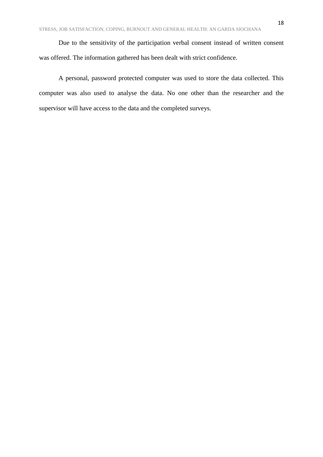Due to the sensitivity of the participation verbal consent instead of written consent was offered. The information gathered has been dealt with strict confidence.

A personal, password protected computer was used to store the data collected. This computer was also used to analyse the data. No one other than the researcher and the supervisor will have access to the data and the completed surveys.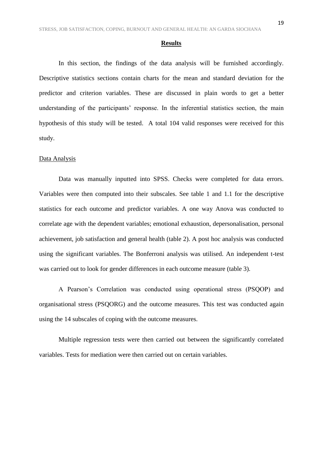#### **Results**

In this section, the findings of the data analysis will be furnished accordingly. Descriptive statistics sections contain charts for the mean and standard deviation for the predictor and criterion variables. These are discussed in plain words to get a better understanding of the participants' response. In the inferential statistics section, the main hypothesis of this study will be tested. A total 104 valid responses were received for this study.

#### Data Analysis

Data was manually inputted into SPSS. Checks were completed for data errors. Variables were then computed into their subscales. See table 1 and 1.1 for the descriptive statistics for each outcome and predictor variables. A one way Anova was conducted to correlate age with the dependent variables; emotional exhaustion, depersonalisation, personal achievement, job satisfaction and general health (table 2). A post hoc analysis was conducted using the significant variables. The Bonferroni analysis was utilised. An independent t-test was carried out to look for gender differences in each outcome measure (table 3).

A Pearson's Correlation was conducted using operational stress (PSQOP) and organisational stress (PSQORG) and the outcome measures. This test was conducted again using the 14 subscales of coping with the outcome measures.

Multiple regression tests were then carried out between the significantly correlated variables. Tests for mediation were then carried out on certain variables.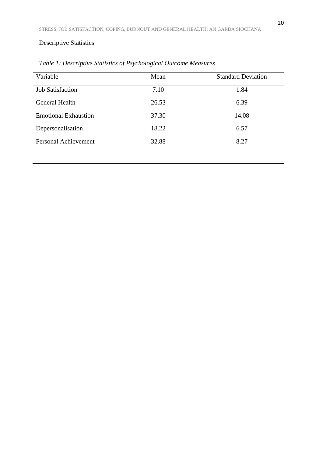# Descriptive Statistics

| Variable                    | Mean  | <b>Standard Deviation</b> |
|-----------------------------|-------|---------------------------|
| <b>Job Satisfaction</b>     | 7.10  | 1.84                      |
| General Health              | 26.53 | 6.39                      |
| <b>Emotional Exhaustion</b> | 37.30 | 14.08                     |
| Depersonalisation           | 18.22 | 6.57                      |
| <b>Personal Achievement</b> | 32.88 | 8.27                      |

*Table 1: Descriptive Statistics of Psychological Outcome Measures*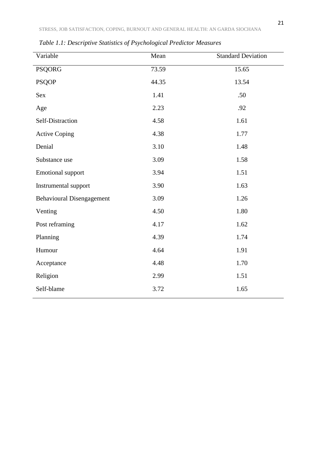| Variable                         | Mean  | <b>Standard Deviation</b> |
|----------------------------------|-------|---------------------------|
| <b>PSQORG</b>                    | 73.59 | 15.65                     |
| <b>PSQOP</b>                     | 44.35 | 13.54                     |
| <b>Sex</b>                       | 1.41  | .50                       |
| Age                              | 2.23  | .92                       |
| Self-Distraction                 | 4.58  | 1.61                      |
| <b>Active Coping</b>             | 4.38  | 1.77                      |
| Denial                           | 3.10  | 1.48                      |
| Substance use                    | 3.09  | 1.58                      |
| <b>Emotional support</b>         | 3.94  | 1.51                      |
| Instrumental support             | 3.90  | 1.63                      |
| <b>Behavioural Disengagement</b> | 3.09  | 1.26                      |
| Venting                          | 4.50  | 1.80                      |
| Post reframing                   | 4.17  | 1.62                      |
| Planning                         | 4.39  | 1.74                      |
| Humour                           | 4.64  | 1.91                      |
| Acceptance                       | 4.48  | 1.70                      |
| Religion                         | 2.99  | 1.51                      |
| Self-blame                       | 3.72  | 1.65                      |

*Table 1.1: Descriptive Statistics of Psychological Predictor Measures*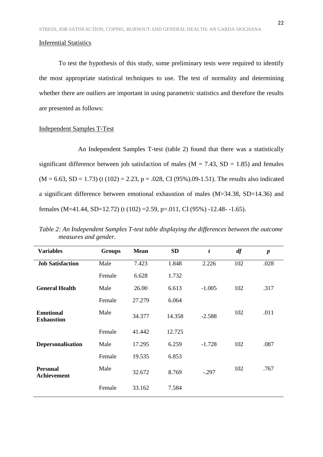#### Inferential Statistics

To test the hypothesis of this study, some preliminary tests were required to identify the most appropriate statistical techniques to use. The test of normality and determining whether there are outliers are important in using parametric statistics and therefore the results are presented as follows:

#### Independent Samples T-Test

An Independent Samples T-test (table 2) found that there was a statistically significant difference between job satisfaction of males ( $M = 7.43$ ,  $SD = 1.85$ ) and females  $(M = 6.63, SD = 1.73)$  (t (102) = 2.23, p = .028, CI (95%).09-1.51). The results also indicated a significant difference between emotional exhaustion of males (M=34.38, SD=14.36) and females (M=41.44, SD=12.72) (t (102) =2.59, p=.011, CI (95%) -12.48- -1.65).

| <b>Variables</b>                      | <b>Groups</b> | <b>Mean</b> | <b>SD</b> | $\boldsymbol{t}$ | df  | $\boldsymbol{p}$ |
|---------------------------------------|---------------|-------------|-----------|------------------|-----|------------------|
| <b>Job Satisfaction</b>               | Male          | 7.423       | 1.848     | 2.226            | 102 | .028             |
|                                       | Female        | 6.628       | 1.732     |                  |     |                  |
| <b>General Health</b>                 | Male          | 26.00       | 6.613     | $-1.005$         | 102 | .317             |
|                                       | Female        | 27.279      | 6.064     |                  |     |                  |
| <b>Emotional</b><br><b>Exhaustion</b> | Male          | 34.377      | 14.358    | $-2.588$         | 102 | .011             |
|                                       | Female        | 41.442      | 12.725    |                  |     |                  |
| Depersonalisation                     | Male          | 17.295      | 6.259     | $-1.728$         | 102 | .087             |
|                                       | Female        | 19.535      | 6.853     |                  |     |                  |
| <b>Personal</b><br><b>Achievement</b> | Male          | 32.672      | 8.769     | $-.297$          | 102 | .767             |
|                                       | Female        | 33.162      | 7.584     |                  |     |                  |

*Table 2: An Independent Samples T-test table displaying the differences between the outcome measures and gender.*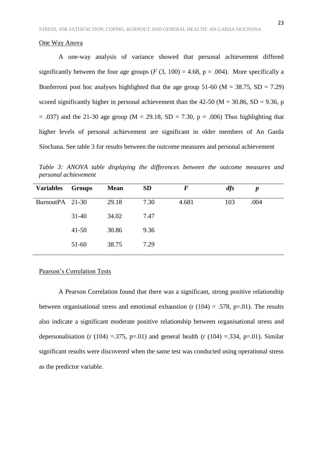#### One Way Anova

A one-way analysis of variance showed that personal achievement differed significantly between the four age groups  $(F (3, 100) = 4.68, p = .004)$ . More specifically a Bonferroni post hoc analyses highlighted that the age group 51-60 ( $M = 38.75$ ,  $SD = 7.29$ ) scored significantly higher in personal achievement than the 42-50 ( $M = 30.86$ , SD = 9.36, p  $= .037$ ) and the 21-30 age group (M = 29.18, SD = 7.30, p = .006) Thus highlighting that higher levels of personal achievement are significant in older members of An Garda Síochana. See table 3 for results between the outcome measures and personal achievement

*Table 3: ANOVA table displaying the differences between the outcome measures and personal achievement*

| <b>Variables</b> | <b>Groups</b> | <b>Mean</b> | <b>SD</b> | $\bm{F}$ | dfs | $\boldsymbol{p}$ |
|------------------|---------------|-------------|-----------|----------|-----|------------------|
| BurnoutPA 21-30  |               | 29.18       | 7.30      | 4.681    | 103 | .004             |
|                  | $31 - 40$     | 34.02       | 7.47      |          |     |                  |
|                  | $41 - 50$     | 30.86       | 9.36      |          |     |                  |
|                  | $51-60$       | 38.75       | 7.29      |          |     |                  |

#### Pearson's Correlation Tests

A Pearson Correlation found that there was a significant, strong positive relationship between organisational stress and emotional exhaustion (r  $(104) = .578$ , p=.01). The results also indicate a significant moderate positive relationship between organisational stress and depersonalisation (r (104) =.375, p=.01) and general health (r (104) =.334, p=.01). Similar significant results were discovered when the same test was conducted using operational stress as the predictor variable.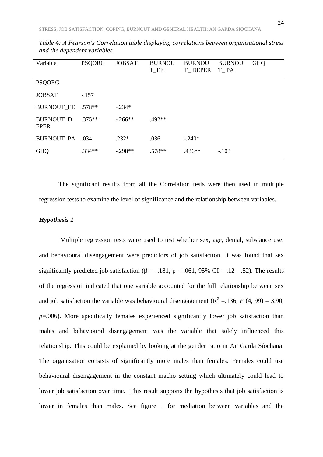| Variable                        | <b>PSQORG</b> | <b>JOBSAT</b> | <b>BURNOU</b><br>T_EE | <b>BURNOU</b><br>T_DEPER | <b>BURNOU</b><br>T PA | <b>GHQ</b> |
|---------------------------------|---------------|---------------|-----------------------|--------------------------|-----------------------|------------|
| <b>PSQORG</b>                   |               |               |                       |                          |                       |            |
| <b>JOBSAT</b>                   | $-.157$       |               |                       |                          |                       |            |
| <b>BURNOUT_EE</b>               | $.578**$      | $-.234*$      |                       |                          |                       |            |
| <b>BURNOUT D</b><br><b>EPER</b> | $.375**$      | $-266**$      | $.492**$              |                          |                       |            |
| <b>BURNOUT PA</b>               | .034          | $.232*$       | .036                  | $-.240*$                 |                       |            |
| <b>GHQ</b>                      | $.334**$      | $-298**$      | $.578**$              | $.436**$                 | $-.103$               |            |

*Table 4: A Pearson's Correlation table displaying correlations between organisational stress and the dependent variables* 

The significant results from all the Correlation tests were then used in multiple regression tests to examine the level of significance and the relationship between variables.

#### *Hypothesis 1*

Multiple regression tests were used to test whether sex, age, denial, substance use, and behavioural disengagement were predictors of job satisfaction. It was found that sex significantly predicted job satisfaction ( $\beta$  = -.181, p = .061, 95% CI = .12 - .52). The results of the regression indicated that one variable accounted for the full relationship between sex and job satisfaction the variable was behavioural disengagement ( $\mathbb{R}^2 = 136$ , *F* (4, 99) = 3.90, *p*=.006). More specifically females experienced significantly lower job satisfaction than males and behavioural disengagement was the variable that solely influenced this relationship. This could be explained by looking at the gender ratio in An Garda Síochana. The organisation consists of significantly more males than females. Females could use behavioural disengagement in the constant macho setting which ultimately could lead to lower job satisfaction over time. This result supports the hypothesis that job satisfaction is lower in females than males. See figure 1 for mediation between variables and the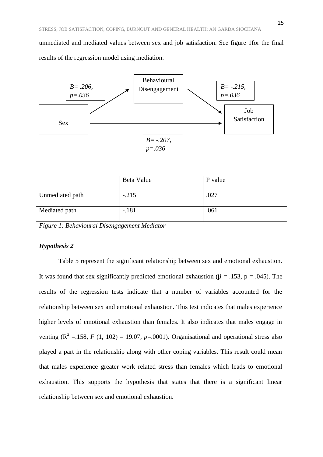unmediated and mediated values between sex and job satisfaction. See figure 1for the final results of the regression model using mediation.



|                 | Beta Value | P value |
|-----------------|------------|---------|
|                 |            |         |
| Unmediated path | $-.215$    | .027    |
| Mediated path   | $-.181$    | .061    |

*Figure 1: Behavioural Disengagement Mediator* 

#### *Hypothesis 2*

Table 5 represent the significant relationship between sex and emotional exhaustion. It was found that sex significantly predicted emotional exhaustion ( $\beta$  = .153, p = .045). The results of the regression tests indicate that a number of variables accounted for the relationship between sex and emotional exhaustion. This test indicates that males experience higher levels of emotional exhaustion than females. It also indicates that males engage in venting  $(R^2 = 158, F(1, 102) = 19.07, p = .0001)$ . Organisational and operational stress also played a part in the relationship along with other coping variables. This result could mean that males experience greater work related stress than females which leads to emotional exhaustion. This supports the hypothesis that states that there is a significant linear relationship between sex and emotional exhaustion.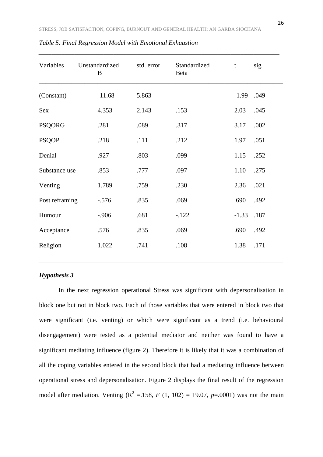| Variables      | Unstandardized<br>B | std. error | Standardized<br>Beta | $\mathbf t$ | sig  |
|----------------|---------------------|------------|----------------------|-------------|------|
| (Constant)     | $-11.68$            | 5.863      |                      | $-1.99$     | .049 |
| Sex            | 4.353               | 2.143      | .153                 | 2.03        | .045 |
| <b>PSQORG</b>  | .281                | .089       | .317                 | 3.17        | .002 |
| <b>PSQOP</b>   | .218                | .111       | .212                 | 1.97        | .051 |
| Denial         | .927                | .803       | .099                 | 1.15        | .252 |
| Substance use  | .853                | .777       | .097                 | 1.10        | .275 |
| Venting        | 1.789               | .759       | .230                 | 2.36        | .021 |
| Post reframing | $-.576$             | .835       | .069                 | .690        | .492 |
| Humour         | $-.906$             | .681       | $-.122$              | $-1.33$     | .187 |
| Acceptance     | .576                | .835       | .069                 | .690        | .492 |
| Religion       | 1.022               | .741       | .108                 | 1.38        | .171 |
|                |                     |            |                      |             |      |

*Table 5: Final Regression Model with Emotional Exhaustion* 

#### *Hypothesis 3*

In the next regression operational Stress was significant with depersonalisation in block one but not in block two. Each of those variables that were entered in block two that were significant (i.e. venting) or which were significant as a trend (i.e. behavioural disengagement) were tested as a potential mediator and neither was found to have a significant mediating influence (figure 2). Therefore it is likely that it was a combination of all the coping variables entered in the second block that had a mediating influence between operational stress and depersonalisation. Figure 2 displays the final result of the regression model after mediation. Venting ( $R^2 = 158$ , *F* (1, 102) = 19.07, *p*=.0001) was not the main

\_\_\_\_\_\_\_\_\_\_\_\_\_\_\_\_\_\_\_\_\_\_\_\_\_\_\_\_\_\_\_\_\_\_\_\_\_\_\_\_\_\_\_\_\_\_\_\_\_\_\_\_\_\_\_\_\_\_\_\_\_\_\_\_\_\_\_\_\_\_\_\_\_\_\_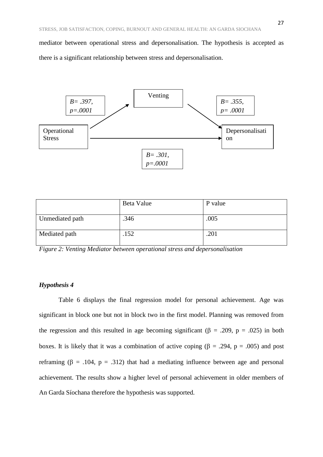mediator between operational stress and depersonalisation. The hypothesis is accepted as there is a significant relationship between stress and depersonalisation.



|                 | Beta Value | P value |
|-----------------|------------|---------|
|                 |            |         |
| Unmediated path | .346       | .005    |
| Mediated path   | .152       | .201    |

*Figure 2: Venting Mediator between operational stress and depersonalisation* 

# *Hypothesis 4*

Table 6 displays the final regression model for personal achievement. Age was significant in block one but not in block two in the first model. Planning was removed from the regression and this resulted in age becoming significant ( $\beta$  = .209, p = .025) in both boxes. It is likely that it was a combination of active coping ( $\beta$  = .294, p = .005) and post reframing ( $\beta$  = .104,  $p$  = .312) that had a mediating influence between age and personal achievement. The results show a higher level of personal achievement in older members of An Garda Síochana therefore the hypothesis was supported.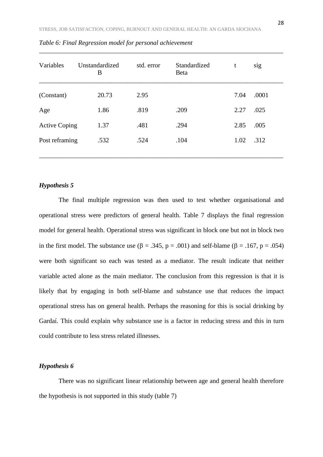| Variables            | Unstandardized<br>B | std. error | Standardized<br>Beta | t    | sig   |
|----------------------|---------------------|------------|----------------------|------|-------|
| (Constant)           | 20.73               | 2.95       |                      | 7.04 | .0001 |
| Age                  | 1.86                | .819       | .209                 | 2.27 | .025  |
| <b>Active Coping</b> | 1.37                | .481       | .294                 | 2.85 | .005  |
| Post reframing       | .532                | .524       | .104                 | 1.02 | .312  |

*Table 6: Final Regression model for personal achievement*

#### *Hypothesis 5*

The final multiple regression was then used to test whether organisational and operational stress were predictors of general health. Table 7 displays the final regression model for general health. Operational stress was significant in block one but not in block two in the first model. The substance use ( $\beta = .345$ ,  $p = .001$ ) and self-blame ( $\beta = .167$ ,  $p = .054$ ) were both significant so each was tested as a mediator. The result indicate that neither variable acted alone as the main mediator. The conclusion from this regression is that it is likely that by engaging in both self-blame and substance use that reduces the impact operational stress has on general health. Perhaps the reasoning for this is social drinking by Gardaí. This could explain why substance use is a factor in reducing stress and this in turn could contribute to less stress related illnesses.

#### *Hypothesis 6*

There was no significant linear relationship between age and general health therefore the hypothesis is not supported in this study (table 7)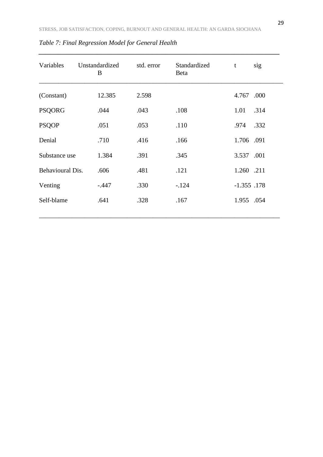| Variables        | Unstandardized<br>B | std. error | Standardized<br>Beta | sig<br>t       |
|------------------|---------------------|------------|----------------------|----------------|
| (Constant)       | 12.385              | 2.598      |                      | .000<br>4.767  |
| <b>PSQORG</b>    | .044                | .043       | .108                 | 1.01<br>.314   |
| <b>PSQOP</b>     | .051                | .053       | .110                 | .332<br>.974   |
| Denial           | .710                | .416       | .166                 | 1.706 .091     |
| Substance use    | 1.384               | .391       | .345                 | 3.537 .001     |
| Behavioural Dis. | .606                | .481       | .121                 | 1.260 .211     |
| Venting          | $-.447$             | .330       | $-.124$              | $-1.355$ . 178 |
| Self-blame       | .641                | .328       | .167                 | 1.955 .054     |
|                  |                     |            |                      |                |

*Table 7: Final Regression Model for General Health*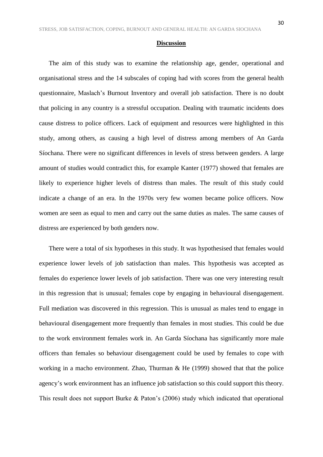#### **Discussion**

The aim of this study was to examine the relationship age, gender, operational and organisational stress and the 14 subscales of coping had with scores from the general health questionnaire, Maslach's Burnout Inventory and overall job satisfaction. There is no doubt that policing in any country is a stressful occupation. Dealing with traumatic incidents does cause distress to police officers. Lack of equipment and resources were highlighted in this study, among others, as causing a high level of distress among members of An Garda Síochana. There were no significant differences in levels of stress between genders. A large amount of studies would contradict this, for example Kanter (1977) showed that females are likely to experience higher levels of distress than males. The result of this study could indicate a change of an era. In the 1970s very few women became police officers. Now women are seen as equal to men and carry out the same duties as males. The same causes of distress are experienced by both genders now.

There were a total of six hypotheses in this study. It was hypothesised that females would experience lower levels of job satisfaction than males. This hypothesis was accepted as females do experience lower levels of job satisfaction. There was one very interesting result in this regression that is unusual; females cope by engaging in behavioural disengagement. Full mediation was discovered in this regression. This is unusual as males tend to engage in behavioural disengagement more frequently than females in most studies. This could be due to the work environment females work in. An Garda Síochana has significantly more male officers than females so behaviour disengagement could be used by females to cope with working in a macho environment. Zhao, Thurman & He (1999) showed that that the police agency's work environment has an influence job satisfaction so this could support this theory. This result does not support Burke & Paton's (2006) study which indicated that operational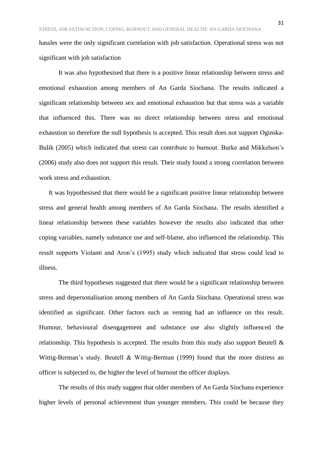hassles were the only significant correlation with job satisfaction. Operational stress was not significant with job satisfaction

It was also hypothesised that there is a positive linear relationship between stress and emotional exhaustion among members of An Garda Síochana. The results indicated a significant relationship between sex and emotional exhaustion but that stress was a variable that influenced this. There was no direct relationship between stress and emotional exhaustion so therefore the null hypothesis is accepted. This result does not support Oginska-Bulik (2005) which indicated that stress can contribute to burnout. Burke and Mikkelson's (2006) study also does not support this result. Their study found a strong correlation between work stress and exhaustion.

It was hypothesised that there would be a significant positive linear relationship between stress and general health among members of An Garda Síochana. The results identified a linear relationship between these variables however the results also indicated that other coping variables, namely substance use and self-blame, also influenced the relationship. This result supports Violanti and Aron's (1995) study which indicated that stress could lead to illness.

The third hypotheses suggested that there would be a significant relationship between stress and depersonalisation among members of An Garda Síochana. Operational stress was identified as significant. Other factors such as venting had an influence on this result. Humour, behavioural disengagement and substance use also slightly influenced the relationship. This hypothesis is accepted. The results from this study also support Beutell  $\&$ Wittig-Berman's study. Beutell & Wittig-Berman (1999) found that the more distress an officer is subjected to, the higher the level of burnout the officer displays.

The results of this study suggest that older members of An Garda Síochana experience higher levels of personal achievement than younger members. This could be because they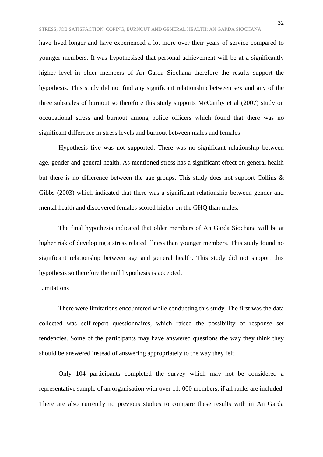have lived longer and have experienced a lot more over their years of service compared to younger members. It was hypothesised that personal achievement will be at a significantly higher level in older members of An Garda Síochana therefore the results support the hypothesis. This study did not find any significant relationship between sex and any of the three subscales of burnout so therefore this study supports McCarthy et al (2007) study on occupational stress and burnout among police officers which found that there was no significant difference in stress levels and burnout between males and females

Hypothesis five was not supported. There was no significant relationship between age, gender and general health. As mentioned stress has a significant effect on general health but there is no difference between the age groups. This study does not support Collins & Gibbs (2003) which indicated that there was a significant relationship between gender and mental health and discovered females scored higher on the GHQ than males.

The final hypothesis indicated that older members of An Garda Síochana will be at higher risk of developing a stress related illness than younger members. This study found no significant relationship between age and general health. This study did not support this hypothesis so therefore the null hypothesis is accepted.

#### Limitations

There were limitations encountered while conducting this study. The first was the data collected was self-report questionnaires, which raised the possibility of response set tendencies. Some of the participants may have answered questions the way they think they should be answered instead of answering appropriately to the way they felt.

Only 104 participants completed the survey which may not be considered a representative sample of an organisation with over 11, 000 members, if all ranks are included. There are also currently no previous studies to compare these results with in An Garda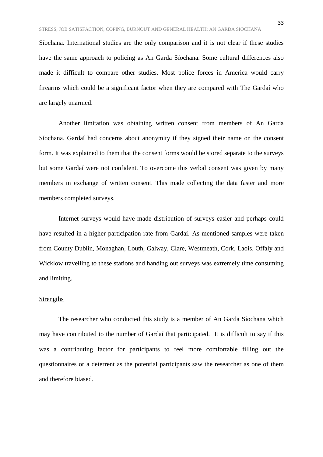Síochana. International studies are the only comparison and it is not clear if these studies have the same approach to policing as An Garda Síochana. Some cultural differences also made it difficult to compare other studies. Most police forces in America would carry firearms which could be a significant factor when they are compared with The Gardaí who are largely unarmed.

Another limitation was obtaining written consent from members of An Garda Síochana. Gardaí had concerns about anonymity if they signed their name on the consent form. It was explained to them that the consent forms would be stored separate to the surveys but some Gardaí were not confident. To overcome this verbal consent was given by many members in exchange of written consent. This made collecting the data faster and more members completed surveys.

Internet surveys would have made distribution of surveys easier and perhaps could have resulted in a higher participation rate from Gardaí. As mentioned samples were taken from County Dublin, Monaghan, Louth, Galway, Clare, Westmeath, Cork, Laois, Offaly and Wicklow travelling to these stations and handing out surveys was extremely time consuming and limiting.

#### **Strengths**

The researcher who conducted this study is a member of An Garda Síochana which may have contributed to the number of Gardaí that participated. It is difficult to say if this was a contributing factor for participants to feel more comfortable filling out the questionnaires or a deterrent as the potential participants saw the researcher as one of them and therefore biased.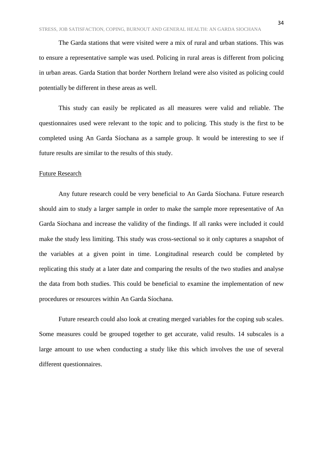The Garda stations that were visited were a mix of rural and urban stations. This was to ensure a representative sample was used. Policing in rural areas is different from policing in urban areas. Garda Station that border Northern Ireland were also visited as policing could potentially be different in these areas as well.

This study can easily be replicated as all measures were valid and reliable. The questionnaires used were relevant to the topic and to policing. This study is the first to be completed using An Garda Síochana as a sample group. It would be interesting to see if future results are similar to the results of this study.

#### Future Research

Any future research could be very beneficial to An Garda Síochana. Future research should aim to study a larger sample in order to make the sample more representative of An Garda Síochana and increase the validity of the findings. If all ranks were included it could make the study less limiting. This study was cross-sectional so it only captures a snapshot of the variables at a given point in time. Longitudinal research could be completed by replicating this study at a later date and comparing the results of the two studies and analyse the data from both studies. This could be beneficial to examine the implementation of new procedures or resources within An Garda Síochana.

Future research could also look at creating merged variables for the coping sub scales. Some measures could be grouped together to get accurate, valid results. 14 subscales is a large amount to use when conducting a study like this which involves the use of several different questionnaires.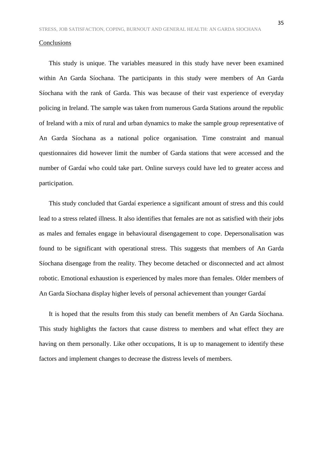#### Conclusions

This study is unique. The variables measured in this study have never been examined within An Garda Síochana. The participants in this study were members of An Garda Síochana with the rank of Garda. This was because of their vast experience of everyday policing in Ireland. The sample was taken from numerous Garda Stations around the republic of Ireland with a mix of rural and urban dynamics to make the sample group representative of An Garda Síochana as a national police organisation. Time constraint and manual questionnaires did however limit the number of Garda stations that were accessed and the number of Gardaí who could take part. Online surveys could have led to greater access and participation.

This study concluded that Gardaí experience a significant amount of stress and this could lead to a stress related illness. It also identifies that females are not as satisfied with their jobs as males and females engage in behavioural disengagement to cope. Depersonalisation was found to be significant with operational stress. This suggests that members of An Garda Síochana disengage from the reality. They become detached or disconnected and act almost robotic. Emotional exhaustion is experienced by males more than females. Older members of An Garda Síochana display higher levels of personal achievement than younger Gardaí

It is hoped that the results from this study can benefit members of An Garda Síochana. This study highlights the factors that cause distress to members and what effect they are having on them personally. Like other occupations, It is up to management to identify these factors and implement changes to decrease the distress levels of members.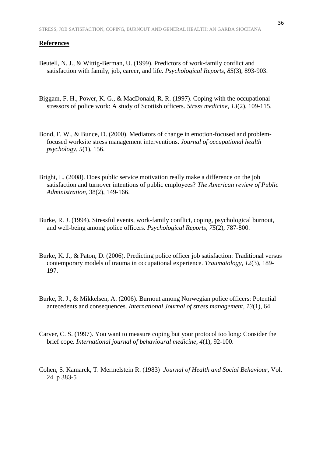#### **References**

- Beutell, N. J., & Wittig-Berman, U. (1999). Predictors of work-family conflict and satisfaction with family, job, career, and life. *Psychological Reports*, *85*(3), 893-903.
- Biggam, F. H., Power, K. G., & MacDonald, R. R. (1997). Coping with the occupational stressors of police work: A study of Scottish officers. *Stress medicine*, *13*(2), 109-115.
- Bond, F. W., & Bunce, D. (2000). Mediators of change in emotion-focused and problemfocused worksite stress management interventions. *Journal of occupational health psychology*, *5*(1), 156.
- Bright, L. (2008). Does public service motivation really make a difference on the job satisfaction and turnover intentions of public employees? *The American review of Public Administration*, 38(2), 149-166.
- Burke, R. J. (1994). Stressful events, work-family conflict, coping, psychological burnout, and well-being among police officers. *Psychological Reports*, *75*(2), 787-800.
- Burke, K. J., & Paton, D. (2006). Predicting police officer job satisfaction: Traditional versus contemporary models of trauma in occupational experience. *Traumatology*, *12*(3), 189- 197.
- Burke, R. J., & Mikkelsen, A. (2006). Burnout among Norwegian police officers: Potential antecedents and consequences. *International Journal of stress management*, *13*(1), 64.
- Carver, C. S. (1997). You want to measure coping but your protocol too long: Consider the brief cope. *International journal of behavioural medicine*, *4*(1), 92-100.
- Cohen, S. Kamarck, T. Mermelstein R. (1983) *Journal of Health and Social Behaviour*, Vol. 24 p 383-5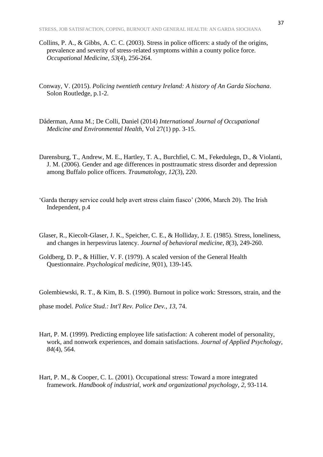- Collins, P. A., & Gibbs, A. C. C. (2003). Stress in police officers: a study of the origins, prevalence and severity of stress-related symptoms within a county police force. *Occupational Medicine*, *53*(4), 256-264.
- Conway, V. (2015). *Policing twentieth century Ireland: A history of An Garda Síochana*. Solon Routledge, p.1-2.
- Dåderman, Anna M.; De Colli, Daniel (2014) *International Journal of Occupational Medicine and Environmental Health*, Vol 27(1) pp. 3-15.
- Darensburg, T., Andrew, M. E., Hartley, T. A., Burchfiel, C. M., Fekedulegn, D., & Violanti, J. M. (2006). Gender and age differences in posttraumatic stress disorder and depression among Buffalo police officers. *Traumatology*, *12*(3), 220.
- 'Garda therapy service could help avert stress claim fiasco' (2006, March 20). The Irish Independent, p.4
- Glaser, R., Kiecolt-Glaser, J. K., Speicher, C. E., & Holliday, J. E. (1985). Stress, loneliness, and changes in herpesvirus latency. *Journal of behavioral medicine*, *8*(3), 249-260.
- Goldberg, D. P., & Hillier, V. F. (1979). A scaled version of the General Health Questionnaire. *Psychological medicine*, *9*(01), 139-145.

Golembiewski, R. T., & Kim, B. S. (1990). Burnout in police work: Stressors, strain, and the

phase model. *Police Stud.: Int'l Rev. Police Dev.*, *13*, 74.

- Hart, P. M. (1999). Predicting employee life satisfaction: A coherent model of personality, work, and nonwork experiences, and domain satisfactions. *Journal of Applied Psychology*, *84*(4), 564.
- Hart, P. M., & Cooper, C. L. (2001). Occupational stress: Toward a more integrated framework. *Handbook of industrial, work and organizational psychology*, *2*, 93-114.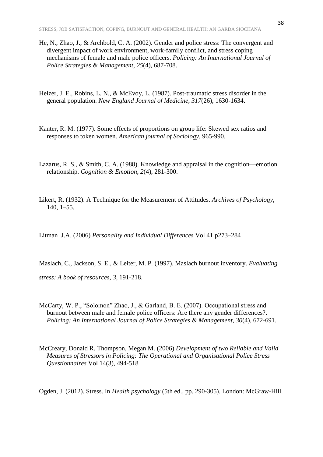- He, N., Zhao, J., & Archbold, C. A. (2002). Gender and police stress: The convergent and divergent impact of work environment, work-family conflict, and stress coping mechanisms of female and male police officers. *Policing: An International Journal of Police Strategies & Management*, *25*(4), 687-708.
- Helzer, J. E., Robins, L. N., & McEvoy, L. (1987). Post-traumatic stress disorder in the general population. *New England Journal of Medicine*, *317*(26), 1630-1634.
- Kanter, R. M. (1977). Some effects of proportions on group life: Skewed sex ratios and responses to token women. *American journal of Sociology*, 965-990.
- Lazarus, R. S., & Smith, C. A. (1988). Knowledge and appraisal in the cognition—emotion relationship. *Cognition & Emotion*, *2*(4), 281-300.
- Likert, R. (1932). A Technique for the Measurement of Attitudes. *Archives of Psychology*, 140, 1–55.
- Litman J.A. (2006) *Personality and Individual Differences* Vol 41 p273–284

Maslach, C., Jackson, S. E., & Leiter, M. P. (1997). Maslach burnout inventory. *Evaluating* 

*stress: A book of resources*, *3*, 191-218.

- McCarty, W. P., "Solomon" Zhao, J., & Garland, B. E. (2007). Occupational stress and burnout between male and female police officers: Are there any gender differences?. *Policing: An International Journal of Police Strategies & Management*, *30*(4), 672-691.
- McCreary, Donald R. Thompson, Megan M. (2006) *Development of two Reliable and Valid Measures of Stressors in Policing: The Operational and Organisational Police Stress Questionnaires* Vol 14(3), 494-518

Ogden, J. (2012). Stress. In *Health psychology* (5th ed., pp. 290-305). London: McGraw-Hill.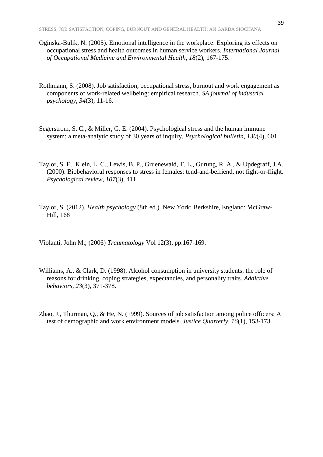- Oginska-Bulik, N. (2005). Emotional intelligence in the workplace: Exploring its effects on occupational stress and health outcomes in human service workers. *International Journal of Occupational Medicine and Environmental Health*, *18*(2), 167-175.
- Rothmann, S. (2008). Job satisfaction, occupational stress, burnout and work engagement as components of work-related wellbeing: empirical research. *SA journal of industrial psychology*, *34*(3), 11-16.
- Segerstrom, S. C., & Miller, G. E. (2004). Psychological stress and the human immune system: a meta-analytic study of 30 years of inquiry. *Psychological bulletin*, *130*(4), 601.
- Taylor, S. E., Klein, L. C., Lewis, B. P., Gruenewald, T. L., Gurung, R. A., & Updegraff, J.A. (2000). Biobehavioral responses to stress in females: tend-and-befriend, not fight-or-flight. *Psychological review*, *107*(3), 411.
- Taylor, S. (2012). *Health psychology* (8th ed.). New York: Berkshire, England: McGraw-Hill, 168
- Violanti, John M.; (2006) *Traumatology* Vol 12(3), pp.167-169.
- Williams, A., & Clark, D. (1998). Alcohol consumption in university students: the role of reasons for drinking, coping strategies, expectancies, and personality traits. *Addictive behaviors*, *23*(3), 371-378.
- Zhao, J., Thurman, Q., & He, N. (1999). Sources of job satisfaction among police officers: A test of demographic and work environment models. *Justice Quarterly*, *16*(1), 153-173.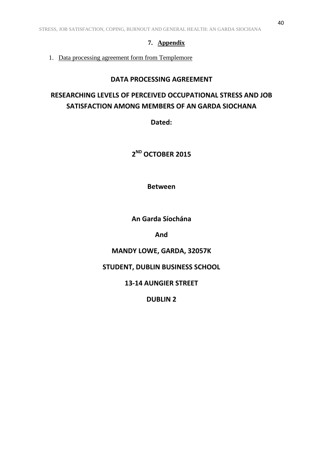# **7. Appendix**

1. Data processing agreement form from Templemore

# **DATA PROCESSING AGREEMENT**

# **RESEARCHING LEVELS OF PERCEIVED OCCUPATIONAL STRESS AND JOB SATISFACTION AMONG MEMBERS OF AN GARDA SIOCHANA**

**Dated:** 

**2 ND OCTOBER 2015**

**Between**

**An Garda Síochána**

**And**

# **MANDY LOWE, GARDA, 32057K**

**STUDENT, DUBLIN BUSINESS SCHOOL**

**13-14 AUNGIER STREET**

**DUBLIN 2**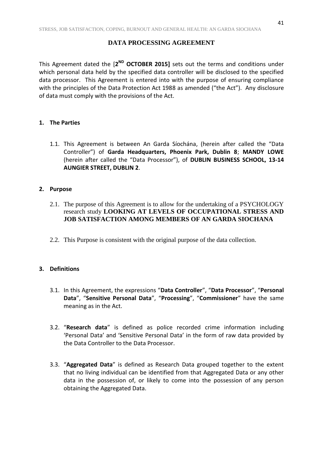# **DATA PROCESSING AGREEMENT**

This Agreement dated the [2<sup>ND</sup> OCTOBER 2015] sets out the terms and conditions under which personal data held by the specified data controller will be disclosed to the specified data processor. This Agreement is entered into with the purpose of ensuring compliance with the principles of the Data Protection Act 1988 as amended ("the Act"). Any disclosure of data must comply with the provisions of the Act.

# **1. The Parties**

1.1. This Agreement is between An Garda Síochána, (herein after called the "Data Controller") of **Garda Headquarters, Phoenix Park, Dublin 8**; **MANDY LOWE** (herein after called the "Data Processor"), of **DUBLIN BUSINESS SCHOOL, 13-14 AUNGIER STREET, DUBLIN 2**.

# **2. Purpose**

- 2.1. The purpose of this Agreement is to allow for the undertaking of a PSYCHOLOGY research study **LOOKING AT LEVELS OF OCCUPATIONAL STRESS AND JOB SATISFACTION AMONG MEMBERS OF AN GARDA SIOCHANA**
- 2.2. This Purpose is consistent with the original purpose of the data collection.

# **3. Definitions**

- 3.1. In this Agreement, the expressions "**Data Controller**", "**Data Processor**", "**Personal Data**", "**Sensitive Personal Data**", "**Processing**", "**Commissioner**" have the same meaning as in the Act.
- 3.2. "**Research data**" is defined as police recorded crime information including 'Personal Data' and 'Sensitive Personal Data' in the form of raw data provided by the Data Controller to the Data Processor.
- 3.3. "**Aggregated Data**" is defined as Research Data grouped together to the extent that no living individual can be identified from that Aggregated Data or any other data in the possession of, or likely to come into the possession of any person obtaining the Aggregated Data.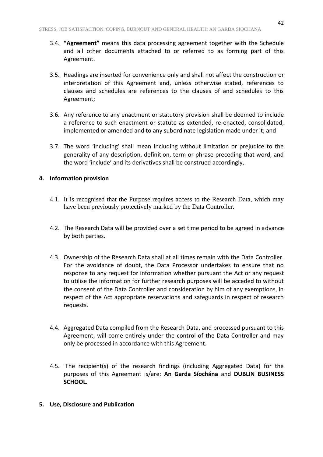- 3.4. **"Agreement"** means this data processing agreement together with the Schedule and all other documents attached to or referred to as forming part of this Agreement.
- 3.5. Headings are inserted for convenience only and shall not affect the construction or interpretation of this Agreement and, unless otherwise stated, references to clauses and schedules are references to the clauses of and schedules to this Agreement;
- 3.6. Any reference to any enactment or statutory provision shall be deemed to include a reference to such enactment or statute as extended, re-enacted, consolidated, implemented or amended and to any subordinate legislation made under it; and
- 3.7. The word 'including' shall mean including without limitation or prejudice to the generality of any description, definition, term or phrase preceding that word, and the word 'include' and its derivatives shall be construed accordingly.

# **4. Information provision**

- 4.1. It is recognised that the Purpose requires access to the Research Data, which may have been previously protectively marked by the Data Controller.
- 4.2. The Research Data will be provided over a set time period to be agreed in advance by both parties.
- 4.3. Ownership of the Research Data shall at all times remain with the Data Controller. For the avoidance of doubt, the Data Processor undertakes to ensure that no response to any request for information whether pursuant the Act or any request to utilise the information for further research purposes will be acceded to without the consent of the Data Controller and consideration by him of any exemptions, in respect of the Act appropriate reservations and safeguards in respect of research requests.
- 4.4. Aggregated Data compiled from the Research Data, and processed pursuant to this Agreement, will come entirely under the control of the Data Controller and may only be processed in accordance with this Agreement.
- 4.5. The recipient(s) of the research findings (including Aggregated Data) for the purposes of this Agreement is/are: **An Garda Síochána** and **DUBLIN BUSINESS SCHOOL***.*
- **5. Use, Disclosure and Publication**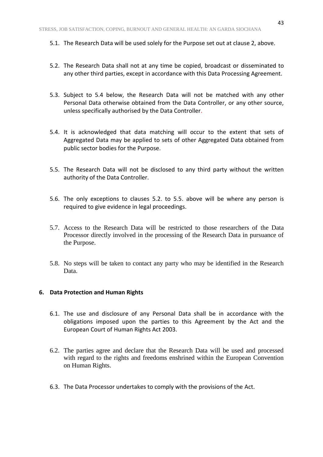- 5.1. The Research Data will be used solely for the Purpose set out at clause 2, above.
- 5.2. The Research Data shall not at any time be copied, broadcast or disseminated to any other third parties, except in accordance with this Data Processing Agreement.
- 5.3. Subject to 5.4 below, the Research Data will not be matched with any other Personal Data otherwise obtained from the Data Controller, or any other source, unless specifically authorised by the Data Controller.
- 5.4. It is acknowledged that data matching will occur to the extent that sets of Aggregated Data may be applied to sets of other Aggregated Data obtained from public sector bodies for the Purpose.
- 5.5. The Research Data will not be disclosed to any third party without the written authority of the Data Controller.
- 5.6. The only exceptions to clauses 5.2. to 5.5. above will be where any person is required to give evidence in legal proceedings.
- 5.7. Access to the Research Data will be restricted to those researchers of the Data Processor directly involved in the processing of the Research Data in pursuance of the Purpose.
- 5.8. No steps will be taken to contact any party who may be identified in the Research Data.

#### **6. Data Protection and Human Rights**

- 6.1. The use and disclosure of any Personal Data shall be in accordance with the obligations imposed upon the parties to this Agreement by the Act and the European Court of Human Rights Act 2003.
- 6.2. The parties agree and declare that the Research Data will be used and processed with regard to the rights and freedoms enshrined within the European Convention on Human Rights.
- 6.3. The Data Processor undertakes to comply with the provisions of the Act.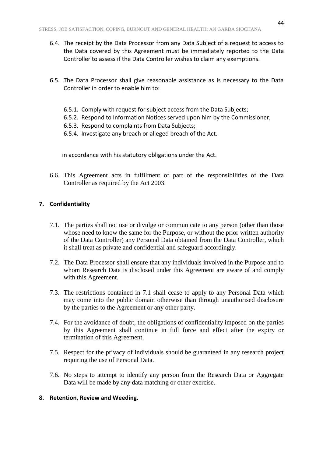- 6.4. The receipt by the Data Processor from any Data Subject of a request to access to the Data covered by this Agreement must be immediately reported to the Data Controller to assess if the Data Controller wishes to claim any exemptions.
- 6.5. The Data Processor shall give reasonable assistance as is necessary to the Data Controller in order to enable him to:
	- 6.5.1. Comply with request for subject access from the Data Subjects;
	- 6.5.2. Respond to Information Notices served upon him by the Commissioner;
	- 6.5.3. Respond to complaints from Data Subjects;
	- 6.5.4. Investigate any breach or alleged breach of the Act.

in accordance with his statutory obligations under the Act.

6.6. This Agreement acts in fulfilment of part of the responsibilities of the Data Controller as required by the Act 2003.

#### **7. Confidentiality**

- 7.1. The parties shall not use or divulge or communicate to any person (other than those whose need to know the same for the Purpose, or without the prior written authority of the Data Controller) any Personal Data obtained from the Data Controller, which it shall treat as private and confidential and safeguard accordingly.
- 7.2. The Data Processor shall ensure that any individuals involved in the Purpose and to whom Research Data is disclosed under this Agreement are aware of and comply with this Agreement.
- 7.3. The restrictions contained in 7.1 shall cease to apply to any Personal Data which may come into the public domain otherwise than through unauthorised disclosure by the parties to the Agreement or any other party.
- 7.4. For the avoidance of doubt, the obligations of confidentiality imposed on the parties by this Agreement shall continue in full force and effect after the expiry or termination of this Agreement.
- 7.5. Respect for the privacy of individuals should be guaranteed in any research project requiring the use of Personal Data.
- 7.6. No steps to attempt to identify any person from the Research Data or Aggregate Data will be made by any data matching or other exercise.

#### **8. Retention, Review and Weeding.**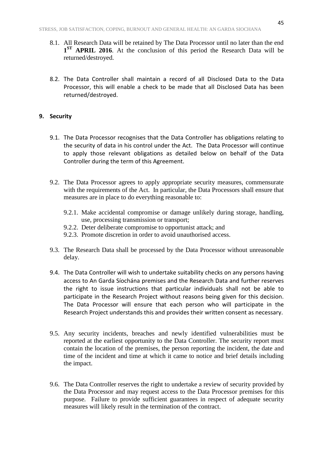- 8.1. All Research Data will be retained by The Data Processor until no later than the end 1<sup>ST</sup> APRIL 2016. At the conclusion of this period the Research Data will be returned/destroyed.
- 8.2. The Data Controller shall maintain a record of all Disclosed Data to the Data Processor, this will enable a check to be made that all Disclosed Data has been returned/destroyed.

#### **9. Security**

- 9.1. The Data Processor recognises that the Data Controller has obligations relating to the security of data in his control under the Act. The Data Processor will continue to apply those relevant obligations as detailed below on behalf of the Data Controller during the term of this Agreement.
- 9.2. The Data Processor agrees to apply appropriate security measures, commensurate with the requirements of the Act. In particular, the Data Processors shall ensure that measures are in place to do everything reasonable to:
	- 9.2.1. Make accidental compromise or damage unlikely during storage, handling, use, processing transmission or transport;
	- 9.2.2. Deter deliberate compromise to opportunist attack; and
	- 9.2.3. Promote discretion in order to avoid unauthorised access.
- 9.3. The Research Data shall be processed by the Data Processor without unreasonable delay.
- 9.4. The Data Controller will wish to undertake suitability checks on any persons having access to An Garda Síochána premises and the Research Data and further reserves the right to issue instructions that particular individuals shall not be able to participate in the Research Project without reasons being given for this decision. The Data Processor will ensure that each person who will participate in the Research Project understands this and provides their written consent as necessary.
- 9.5. Any security incidents, breaches and newly identified vulnerabilities must be reported at the earliest opportunity to the Data Controller. The security report must contain the location of the premises, the person reporting the incident, the date and time of the incident and time at which it came to notice and brief details including the impact.
- 9.6. The Data Controller reserves the right to undertake a review of security provided by the Data Processor and may request access to the Data Processor premises for this purpose. Failure to provide sufficient guarantees in respect of adequate security measures will likely result in the termination of the contract.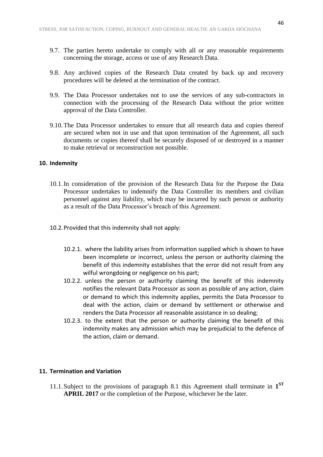- 9.7. The parties hereto undertake to comply with all or any reasonable requirements concerning the storage, access or use of any Research Data.
- 9.8. Any archived copies of the Research Data created by back up and recovery procedures will be deleted at the termination of the contract.
- 9.9. The Data Processor undertakes not to use the services of any sub-contractors in connection with the processing of the Research Data without the prior written approval of the Data Controller.
- 9.10.The Data Processor undertakes to ensure that all research data and copies thereof are secured when not in use and that upon termination of the Agreement, all such documents or copies thereof shall be securely disposed of or destroyed in a manner to make retrieval or reconstruction not possible.

#### **10. Indemnity**

- 10.1.In consideration of the provision of the Research Data for the Purpose the Data Processor undertakes to indemnify the Data Controller its members and civilian personnel against any liability, which may be incurred by such person or authority as a result of the Data Processor's breach of this Agreement.
- 10.2.Provided that this indemnity shall not apply:
	- 10.2.1. where the liability arises from information supplied which is shown to have been incomplete or incorrect, unless the person or authority claiming the benefit of this indemnity establishes that the error did not result from any wilful wrongdoing or negligence on his part;
	- 10.2.2. unless the person or authority claiming the benefit of this indemnity notifies the relevant Data Processor as soon as possible of any action, claim or demand to which this indemnity applies, permits the Data Processor to deal with the action, claim or demand by settlement or otherwise and renders the Data Processor all reasonable assistance in so dealing;
	- 10.2.3. to the extent that the person or authority claiming the benefit of this indemnity makes any admission which may be prejudicial to the defence of the action, claim or demand.

#### **11. Termination and Variation**

11.1.Subject to the provisions of paragraph 8.1 this Agreement shall terminate in **1 ST APRIL 2017** or the completion of the Purpose, whichever be the later.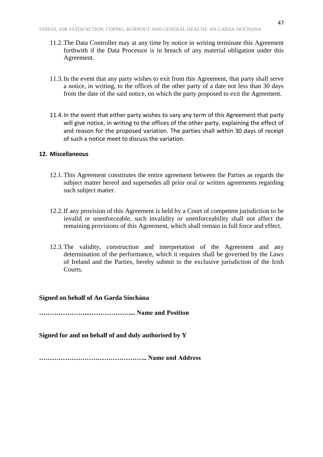- 11.2.The Data Controller may at any time by notice in writing terminate this Agreement forthwith if the Data Processor is in breach of any material obligation under this Agreement.
- 11.3.In the event that any party wishes to exit from this Agreement, that party shall serve a notice, in writing, to the offices of the other party of a date not less than 30 days from the date of the said notice, on which the party proposed to exit the Agreement.
- 11.4.In the event that either party wishes to vary any term of this Agreement that party will give notice, in writing to the offices of the other party, explaining the effect of and reason for the proposed variation. The parties shall within 30 days of receipt of such a notice meet to discuss the variation.

#### **12. Miscellaneous**

- 12.1.This Agreement constitutes the entire agreement between the Parties as regards the subject matter hereof and supersedes all prior oral or written agreements regarding such subject matter.
- 12.2.If any provision of this Agreement is held by a Court of competent jurisdiction to be invalid or unenforceable, such invalidity or unenforceability shall not affect the remaining provisions of this Agreement, which shall remain in full force and effect.
- 12.3.The validity, construction and interpretation of the Agreement and any determination of the performance, which it requires shall be governed by the Laws of Ireland and the Parties, hereby submit to the exclusive jurisdiction of the Irish Courts.

#### **Signed on behalf of An Garda Síochána**

**…………………...……………….... Name and Position** 

**Signed for and on behalf of and duly authorised by Y**

**………………………………………….. Name and Address**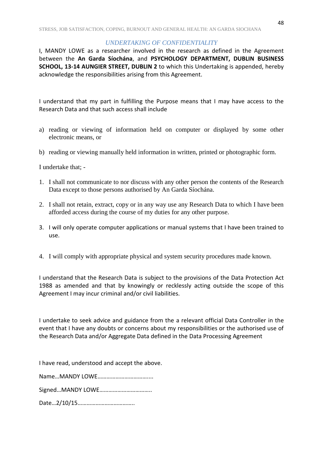#### *UNDERTAKING OF CONFIDENTIALITY*

I, MANDY LOWE as a researcher involved in the research as defined in the Agreement between the **An Garda Síochána**, and **PSYCHOLOGY DEPARTMENT, DUBLIN BUSINESS SCHOOL, 13-14 AUNGIER STREET, DUBLIN 2** to which this Undertaking is appended, hereby acknowledge the responsibilities arising from this Agreement.

I understand that my part in fulfilling the Purpose means that I may have access to the Research Data and that such access shall include

- a) reading or viewing of information held on computer or displayed by some other electronic means, or
- b) reading or viewing manually held information in written, printed or photographic form.

I undertake that; -

- 1. I shall not communicate to nor discuss with any other person the contents of the Research Data except to those persons authorised by An Garda Síochána.
- 2. I shall not retain, extract, copy or in any way use any Research Data to which I have been afforded access during the course of my duties for any other purpose.
- 3. I will only operate computer applications or manual systems that I have been trained to use.
- 4. I will comply with appropriate physical and system security procedures made known.

I understand that the Research Data is subject to the provisions of the Data Protection Act 1988 as amended and that by knowingly or recklessly acting outside the scope of this Agreement I may incur criminal and/or civil liabilities.

I undertake to seek advice and guidance from the a relevant official Data Controller in the event that I have any doubts or concerns about my responsibilities or the authorised use of the Research Data and/or Aggregate Data defined in the Data Processing Agreement

I have read, understood and accept the above.

Name…MANDY LOWE……………………………....

Signed…MANDY LOWE……………………………..

Date…2/10/15………………………………..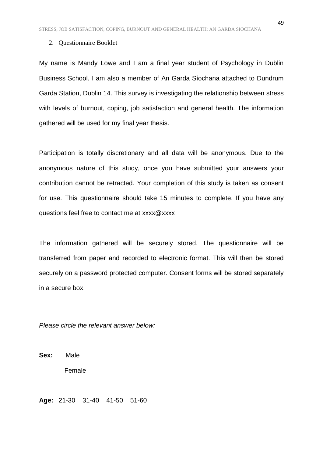#### 2. Questionnaire Booklet

My name is Mandy Lowe and I am a final year student of Psychology in Dublin Business School. I am also a member of An Garda Síochana attached to Dundrum Garda Station, Dublin 14. This survey is investigating the relationship between stress with levels of burnout, coping, job satisfaction and general health. The information gathered will be used for my final year thesis.

Participation is totally discretionary and all data will be anonymous. Due to the anonymous nature of this study, once you have submitted your answers your contribution cannot be retracted. Your completion of this study is taken as consent for use. This questionnaire should take 15 minutes to complete. If you have any questions feel free to contact me at xxxx@xxxx

The information gathered will be securely stored. The questionnaire will be transferred from paper and recorded to electronic format. This will then be stored securely on a password protected computer. Consent forms will be stored separately in a secure box.

*Please circle the relevant answer below:* 

**Sex:** Male Female

**Age:** 21-30 31-40 41-50 51-60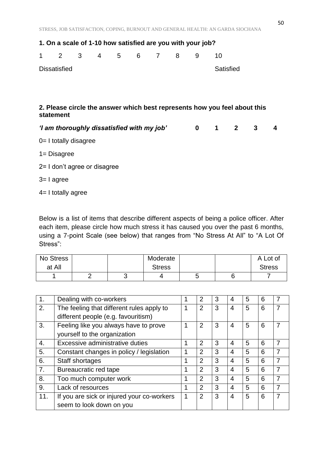| 1. On a scale of 1-10 how satisfied are you with your job?                             |                                            |  |  |  |           |  |                |                         |                         |                         |              |   |
|----------------------------------------------------------------------------------------|--------------------------------------------|--|--|--|-----------|--|----------------|-------------------------|-------------------------|-------------------------|--------------|---|
| 1                                                                                      | $2 \quad$                                  |  |  |  | 3 4 5 6 7 |  | 8 <sup>8</sup> | 9                       | 10                      |                         |              |   |
| <b>Dissatisfied</b>                                                                    |                                            |  |  |  |           |  |                |                         | <b>Satisfied</b>        |                         |              |   |
|                                                                                        |                                            |  |  |  |           |  |                |                         |                         |                         |              |   |
|                                                                                        |                                            |  |  |  |           |  |                |                         |                         |                         |              |   |
| 2. Please circle the answer which best represents how you feel about this<br>statement |                                            |  |  |  |           |  |                |                         |                         |                         |              |   |
|                                                                                        | 'I am thoroughly dissatisfied with my job' |  |  |  |           |  |                | $\overline{\mathbf{0}}$ | $\overline{\mathbf{1}}$ | $\overline{\mathbf{2}}$ | $\mathbf{3}$ | 4 |
|                                                                                        | $0 = I$ totally disagree                   |  |  |  |           |  |                |                         |                         |                         |              |   |
|                                                                                        | $1 = Disagree$                             |  |  |  |           |  |                |                         |                         |                         |              |   |
|                                                                                        | 2= I don't agree or disagree               |  |  |  |           |  |                |                         |                         |                         |              |   |
| $3 = 1$ agree                                                                          |                                            |  |  |  |           |  |                |                         |                         |                         |              |   |
|                                                                                        | $4=$ I totally agree                       |  |  |  |           |  |                |                         |                         |                         |              |   |

Below is a list of items that describe different aspects of being a police officer. After each item, please circle how much stress it has caused you over the past 6 months, using a 7-point Scale (see below) that ranges from "No Stress At All" to "A Lot Of Stress":

| No Stress |   | Moderate      |   | A Lot of      |
|-----------|---|---------------|---|---------------|
| at All    |   | <b>Stress</b> |   | <b>Stress</b> |
|           | ັ |               | ັ |               |

| 1.               | Dealing with co-workers                    |   | 2              | 3 | 4 | 5 | 6 |   |
|------------------|--------------------------------------------|---|----------------|---|---|---|---|---|
| 2.               | The feeling that different rules apply to  |   | $\overline{2}$ | 3 | 4 | 5 | 6 |   |
|                  | different people (e.g. favouritism)        |   |                |   |   |   |   |   |
| 3.               | Feeling like you always have to prove      |   | 2              | 3 | 4 | 5 | 6 |   |
|                  | yourself to the organization               |   |                |   |   |   |   |   |
| 4.               | Excessive administrative duties            | 1 | 2              | 3 | 4 | 5 | 6 | 7 |
| 5.               | Constant changes in policy / legislation   | 1 | $\overline{2}$ | 3 | 4 | 5 | 6 |   |
| 6.               | Staff shortages                            |   | $\overline{2}$ | 3 | 4 | 5 | 6 |   |
| $\overline{7}$ . | Bureaucratic red tape                      | 1 | $\overline{2}$ | 3 | 4 | 5 | 6 |   |
| 8.               | Too much computer work                     |   | $\overline{2}$ | 3 | 4 | 5 | 6 |   |
| 9.               | Lack of resources                          | 1 | $\overline{2}$ | 3 | 4 | 5 | 6 |   |
| 11.              | If you are sick or injured your co-workers | 1 | 2              | 3 | 4 | 5 | 6 |   |
|                  | seem to look down on you                   |   |                |   |   |   |   |   |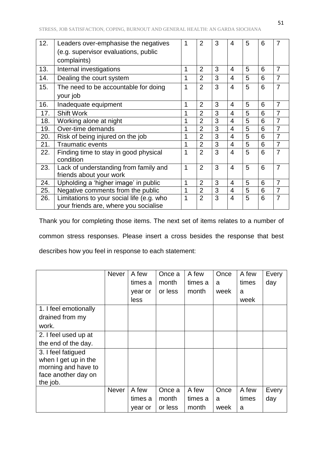| 12. | Leaders over-emphasise the negatives               | 1 | $\overline{2}$ | 3 | 4                        | 5 | 6 | 7              |
|-----|----------------------------------------------------|---|----------------|---|--------------------------|---|---|----------------|
|     | (e.g. supervisor evaluations, public               |   |                |   |                          |   |   |                |
|     | complaints)                                        |   |                |   |                          |   |   |                |
| 13. | Internal investigations                            | 1 | $\overline{2}$ | 3 | 4                        | 5 | 6 | 7              |
| 14. | Dealing the court system                           | 1 | $\overline{2}$ | 3 | 4                        | 5 | 6 | $\overline{7}$ |
| 15. | The need to be accountable for doing               | 1 | $\overline{2}$ | 3 | 4                        | 5 | 6 | $\overline{7}$ |
|     | your job                                           |   |                |   |                          |   |   |                |
| 16. | Inadequate equipment                               | 1 | $\overline{2}$ | 3 | 4                        | 5 | 6 | $\overline{7}$ |
| 17. | <b>Shift Work</b>                                  | 1 | $\overline{2}$ | 3 | 4                        | 5 | 6 | $\overline{7}$ |
| 18. | Working alone at night                             | 1 | $\overline{2}$ | 3 | $\overline{4}$           | 5 | 6 | $\overline{7}$ |
| 19. | Over-time demands                                  | 1 | $\overline{2}$ | 3 | 4                        | 5 | 6 | $\overline{7}$ |
| 20. | Risk of being injured on the job                   | 1 | $\overline{2}$ | 3 | 4                        | 5 | 6 | $\overline{7}$ |
| 21. | <b>Traumatic events</b>                            | 1 | $\overline{2}$ | 3 | $\overline{4}$           | 5 | 6 | $\overline{7}$ |
| 22. | Finding time to stay in good physical<br>condition | 1 | $\overline{2}$ | 3 | $\overline{4}$           | 5 | 6 | $\overline{7}$ |
| 23. | Lack of understanding from family and              | 1 | $\overline{2}$ | 3 | $\overline{\mathcal{L}}$ | 5 | 6 | $\overline{7}$ |
|     | friends about your work                            |   |                |   |                          |   |   |                |
| 24. | Upholding a 'higher image' in public               | 1 | $\overline{2}$ | 3 | 4                        | 5 | 6 | $\overline{7}$ |
| 25. | Negative comments from the public                  | 1 | $\overline{2}$ | 3 | $\overline{4}$           | 5 | 6 | $\overline{7}$ |
| 26. | Limitations to your social life (e.g. who          | 1 | $\overline{2}$ | 3 | $\overline{4}$           | 5 | 6 | $\overline{7}$ |
|     | your friends are, where you socialise              |   |                |   |                          |   |   |                |

Thank you for completing those items. The next set of items relates to a number of common stress responses. Please insert a cross besides the response that best describes how you feel in response to each statement:

|                                 | <b>Never</b> | A few   | Once a  | A few   | Once | A few | Every |
|---------------------------------|--------------|---------|---------|---------|------|-------|-------|
|                                 |              | times a | month   | times a | a    | times | day   |
|                                 |              | year or | or less | month   | week | a     |       |
|                                 |              | less    |         |         |      | week  |       |
| 1. I feel emotionally           |              |         |         |         |      |       |       |
| drained from my                 |              |         |         |         |      |       |       |
| work.                           |              |         |         |         |      |       |       |
| 2. I feel used up at            |              |         |         |         |      |       |       |
| the end of the day.             |              |         |         |         |      |       |       |
| 3. I feel fatigued              |              |         |         |         |      |       |       |
| when I get up in the            |              |         |         |         |      |       |       |
| morning and have to             |              |         |         |         |      |       |       |
| face another day on<br>the job. |              |         |         |         |      |       |       |
|                                 | <b>Never</b> | A few   | Once a  | A few   | Once | A few | Every |
|                                 |              | times a | month   | times a | a    | times | day   |
|                                 |              | year or | or less | month   | week | a     |       |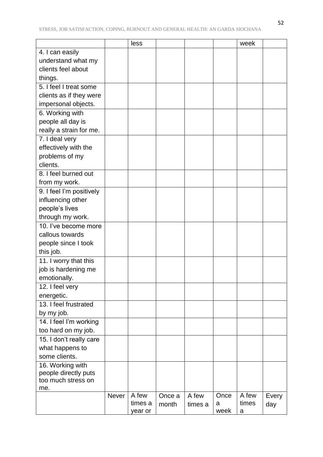|                          |              | less             |        |         |           | week           |       |
|--------------------------|--------------|------------------|--------|---------|-----------|----------------|-------|
| 4. I can easily          |              |                  |        |         |           |                |       |
| understand what my       |              |                  |        |         |           |                |       |
| clients feel about       |              |                  |        |         |           |                |       |
| things.                  |              |                  |        |         |           |                |       |
| 5. I feel I treat some   |              |                  |        |         |           |                |       |
| clients as if they were  |              |                  |        |         |           |                |       |
| impersonal objects.      |              |                  |        |         |           |                |       |
| 6. Working with          |              |                  |        |         |           |                |       |
| people all day is        |              |                  |        |         |           |                |       |
| really a strain for me.  |              |                  |        |         |           |                |       |
| 7. I deal very           |              |                  |        |         |           |                |       |
| effectively with the     |              |                  |        |         |           |                |       |
| problems of my           |              |                  |        |         |           |                |       |
| clients.                 |              |                  |        |         |           |                |       |
| 8. I feel burned out     |              |                  |        |         |           |                |       |
| from my work.            |              |                  |        |         |           |                |       |
| 9. I feel I'm positively |              |                  |        |         |           |                |       |
| influencing other        |              |                  |        |         |           |                |       |
| people's lives           |              |                  |        |         |           |                |       |
| through my work.         |              |                  |        |         |           |                |       |
| 10. I've become more     |              |                  |        |         |           |                |       |
| callous towards          |              |                  |        |         |           |                |       |
| people since I took      |              |                  |        |         |           |                |       |
| this job.                |              |                  |        |         |           |                |       |
| 11. I worry that this    |              |                  |        |         |           |                |       |
| job is hardening me      |              |                  |        |         |           |                |       |
| emotionally.             |              |                  |        |         |           |                |       |
| 12. I feel very          |              |                  |        |         |           |                |       |
| energetic.               |              |                  |        |         |           |                |       |
| 13. I feel frustrated    |              |                  |        |         |           |                |       |
| by my job.               |              |                  |        |         |           |                |       |
| 14. I feel I'm working   |              |                  |        |         |           |                |       |
| too hard on my job.      |              |                  |        |         |           |                |       |
| 15. I don't really care  |              |                  |        |         |           |                |       |
| what happens to          |              |                  |        |         |           |                |       |
| some clients.            |              |                  |        |         |           |                |       |
| 16. Working with         |              |                  |        |         |           |                |       |
| people directly puts     |              |                  |        |         |           |                |       |
| too much stress on       |              |                  |        |         |           |                |       |
| me.                      |              |                  |        |         |           |                |       |
|                          | <b>Never</b> | A few<br>times a | Once a | A few   | Once<br>a | A few<br>times | Every |
|                          |              | year or          | month  | times a | week      | a              | day   |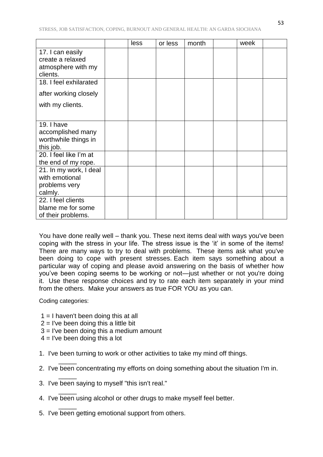|                                                                        | less | or less | month | week |  |
|------------------------------------------------------------------------|------|---------|-------|------|--|
| 17. I can easily<br>create a relaxed<br>atmosphere with my<br>clients. |      |         |       |      |  |
| 18. I feel exhilarated                                                 |      |         |       |      |  |
| after working closely                                                  |      |         |       |      |  |
| with my clients.                                                       |      |         |       |      |  |
| 19. I have<br>accomplished many<br>worthwhile things in<br>this job.   |      |         |       |      |  |
| 20. I feel like I'm at<br>the end of my rope.                          |      |         |       |      |  |
| 21. In my work, I deal<br>with emotional<br>problems very<br>calmly.   |      |         |       |      |  |
| 22. I feel clients<br>blame me for some<br>of their problems.          |      |         |       |      |  |

You have done really well – thank you. These next items deal with ways you've been coping with the stress in your life. The stress issue is the 'it' in some of the items! There are many ways to try to deal with problems. These items ask what you've been doing to cope with present stresses. Each item says something about a particular way of coping and please avoid answering on the basis of whether how you've been coping seems to be working or not—just whether or not you're doing it. Use these response choices and try to rate each item separately in your mind from the others. Make your answers as true FOR YOU as you can.

Coding categories:

 $\overline{\phantom{a}}$ 

\_\_\_\_\_

 $\overline{\phantom{a}}$ 

 $\overline{\phantom{a}}$ 

- $1 = I$  haven't been doing this at all
- $2 =$  I've been doing this a little bit
- 3 = I've been doing this a medium amount
- $4 =$  I've been doing this a lot
- 1. I've been turning to work or other activities to take my mind off things.
- 2. I've been concentrating my efforts on doing something about the situation I'm in.
- 3. I've been saying to myself "this isn't real."
- 4. I've been using alcohol or other drugs to make myself feel better.
- 5. I've been getting emotional support from others.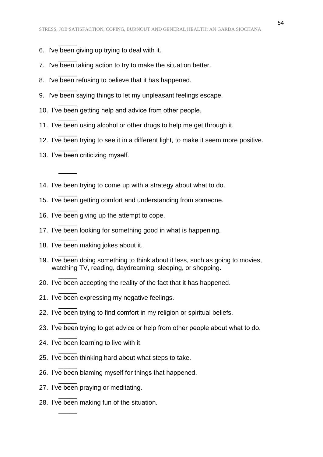6. I've been giving up trying to deal with it.

 $\overline{\phantom{a}}$ 

 $\overline{\phantom{a}}$ 

 $\overline{\phantom{a}}$ 

 $\overline{\phantom{a}}$ 

 $\overline{\phantom{a}}$ 

 $\overline{\phantom{a}}$ 

 $\overline{\phantom{a}}$ 

 $\overline{\phantom{a}}$ 

 $\overline{\phantom{a}}$ 

\_\_\_\_\_

 $\overline{\phantom{a}}$ 

 $\overline{\phantom{a}}$ 

 $\overline{\phantom{a}}$ 

 $\overline{\phantom{a}}$ 

 $\overline{\phantom{a}}$ 

 $\overline{\phantom{a}}$ 

 $\overline{\phantom{a}}$ 

 $\overline{\phantom{a}}$ 

 $\overline{\phantom{a}}$ 

 $\overline{\phantom{a}}$ 

 $\overline{\phantom{a}}$ 

 $\overline{\phantom{a}}$ 

 $\overline{\phantom{a}}$ 

 $\overline{\phantom{a}}$ 

- 7. I've been taking action to try to make the situation better.
- 8. I've been refusing to believe that it has happened.
- 9. I've been saying things to let my unpleasant feelings escape.
- 10. I've been getting help and advice from other people.
- 11. I've been using alcohol or other drugs to help me get through it.
- 12. I've been trying to see it in a different light, to make it seem more positive.
- 13. I've been criticizing myself.
- 14. I've been trying to come up with a strategy about what to do.
- 15. I've been getting comfort and understanding from someone.
- 16. I've been giving up the attempt to cope.
- 17. I've been looking for something good in what is happening.
- 18. I've been making jokes about it.
- 19. I've been doing something to think about it less, such as going to movies, watching TV, reading, daydreaming, sleeping, or shopping.
- 20. I've been accepting the reality of the fact that it has happened.
- 21. I've been expressing my negative feelings.
- 22. I've been trying to find comfort in my religion or spiritual beliefs.
- 23. I've been trying to get advice or help from other people about what to do.
- 24. I've been learning to live with it.
- 25. I've been thinking hard about what steps to take.
- 26. I've been blaming myself for things that happened.
- 27. I've been praying or meditating.
- 28. I've been making fun of the situation.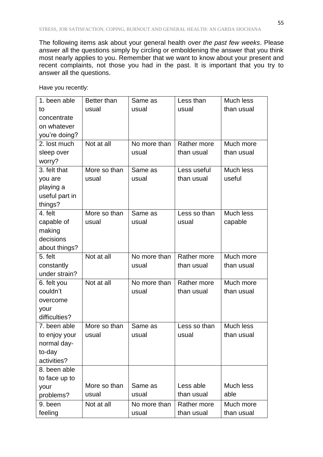The following items ask about your general health *over the past few weeks*. Please answer all the questions simply by circling or emboldening the answer that you think most nearly applies to you. Remember that we want to know about your present and recent complaints, not those you had in the past. It is important that you try to answer all the questions.

| 1. been able   | Better than  | Same as      | Less than          | Much less  |
|----------------|--------------|--------------|--------------------|------------|
| to             | usual        | usual        | usual              | than usual |
| concentrate    |              |              |                    |            |
| on whatever    |              |              |                    |            |
| you're doing?  |              |              |                    |            |
| 2. lost much   | Not at all   | No more than | <b>Rather more</b> | Much more  |
| sleep over     |              | usual        | than usual         | than usual |
| worry?         |              |              |                    |            |
| 3. felt that   | More so than | Same as      | Less useful        | Much less  |
| you are        | usual        | usual        | than usual         | useful     |
| playing a      |              |              |                    |            |
| useful part in |              |              |                    |            |
| things?        |              |              |                    |            |
| 4. felt        | More so than | Same as      | Less so than       | Much less  |
| capable of     | usual        | usual        | usual              | capable    |
| making         |              |              |                    |            |
| decisions      |              |              |                    |            |
| about things?  |              |              |                    |            |
| 5. felt        | Not at all   | No more than | Rather more        | Much more  |
| constantly     |              | usual        | than usual         | than usual |
| under strain?  |              |              |                    |            |
| 6. felt you    | Not at all   | No more than | Rather more        | Much more  |
| couldn't       |              | usual        | than usual         | than usual |
| overcome       |              |              |                    |            |
| your           |              |              |                    |            |
| difficulties?  |              |              |                    |            |
| 7. been able   | More so than | Same as      | Less so than       | Much less  |
| to enjoy your  | usual        | usual        | usual              | than usual |
| normal day-    |              |              |                    |            |
| to-day         |              |              |                    |            |
| activities?    |              |              |                    |            |
| 8. been able   |              |              |                    |            |
| to face up to  |              |              |                    |            |
| your           | More so than | Same as      | Less able          | Much less  |
| problems?      | usual        | usual        | than usual         | able       |
| 9. been        | Not at all   | No more than | Rather more        | Much more  |
| feeling        |              | usual        | than usual         | than usual |

Have you recently: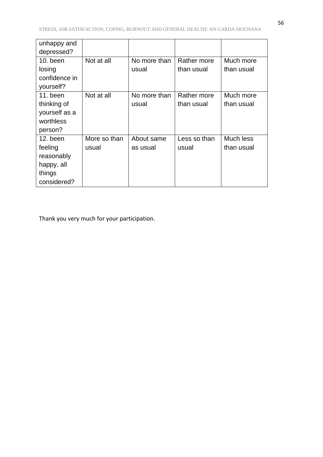| unhappy and   |              |              |              |            |
|---------------|--------------|--------------|--------------|------------|
| depressed?    |              |              |              |            |
| $10.$ been    | Not at all   | No more than | Rather more  | Much more  |
| losing        |              | usual        | than usual   | than usual |
| confidence in |              |              |              |            |
| yourself?     |              |              |              |            |
| 11. been      | Not at all   | No more than | Rather more  | Much more  |
| thinking of   |              | usual        | than usual   | than usual |
| yourself as a |              |              |              |            |
| worthless     |              |              |              |            |
| person?       |              |              |              |            |
| 12. been      | More so than | About same   | Less so than | Much less  |
| feeling       | usual        | as usual     | usual        | than usual |
| reasonably    |              |              |              |            |
| happy, all    |              |              |              |            |
| things        |              |              |              |            |
| considered?   |              |              |              |            |

Thank you very much for your participation.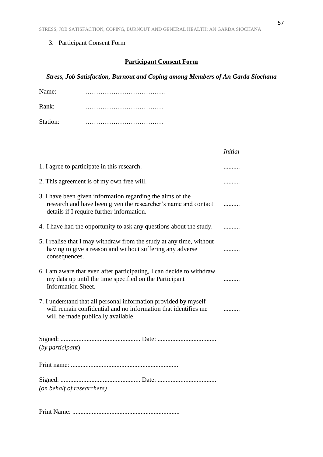# 3. Participant Consent Form

# **Participant Consent Form**

*Stress, Job Satisfaction, Burnout and Coping among Members of An Garda Síochana*

| Name:    |  |
|----------|--|
| Rank:    |  |
| Station: |  |

|                                                                                                                                                                           | <i>Initial</i> |
|---------------------------------------------------------------------------------------------------------------------------------------------------------------------------|----------------|
| 1. I agree to participate in this research.                                                                                                                               | .              |
| 2. This agreement is of my own free will.                                                                                                                                 |                |
| 3. I have been given information regarding the aims of the<br>research and have been given the researcher's name and contact<br>details if I require further information. | .              |
| 4. I have had the opportunity to ask any questions about the study.                                                                                                       |                |
| 5. I realise that I may withdraw from the study at any time, without<br>having to give a reason and without suffering any adverse<br>consequences.                        |                |
| 6. I am aware that even after participating, I can decide to withdraw<br>my data up until the time specified on the Participant<br><b>Information Sheet.</b>              |                |
| 7. I understand that all personal information provided by myself<br>will remain confidential and no information that identifies me<br>will be made publically available.  |                |
| (by participant)                                                                                                                                                          |                |
|                                                                                                                                                                           |                |
| (on behalf of researchers)                                                                                                                                                |                |
|                                                                                                                                                                           |                |

Print Name: ..................................................................